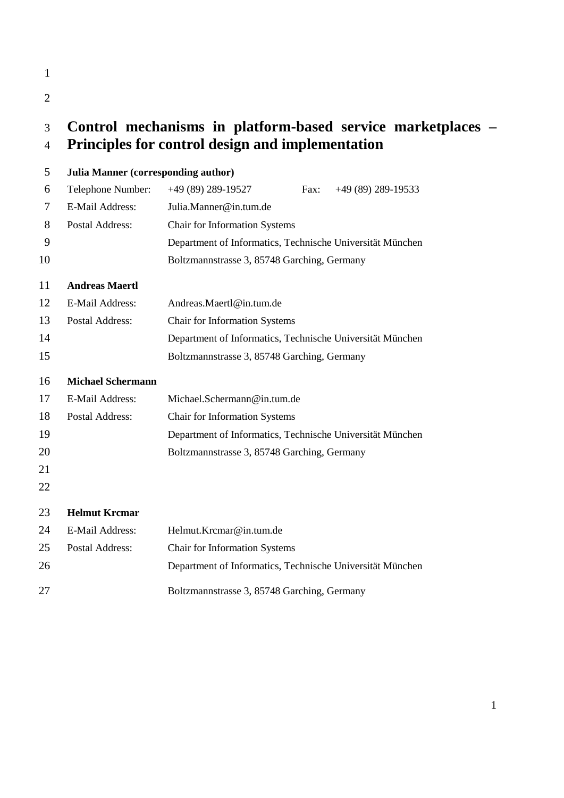- 
- 

# **Control mechanisms in platform-based service marketplaces – Principles for control design and implementation**

| 5  | <b>Julia Manner (corresponding author)</b> |                                                           |      |                    |  |  |  |  |
|----|--------------------------------------------|-----------------------------------------------------------|------|--------------------|--|--|--|--|
| 6  | Telephone Number:                          | +49 (89) 289-19527                                        | Fax: | +49 (89) 289-19533 |  |  |  |  |
| 7  | E-Mail Address:                            | Julia.Manner@in.tum.de                                    |      |                    |  |  |  |  |
| 8  | <b>Postal Address:</b>                     | <b>Chair for Information Systems</b>                      |      |                    |  |  |  |  |
| 9  |                                            | Department of Informatics, Technische Universität München |      |                    |  |  |  |  |
| 10 |                                            | Boltzmannstrasse 3, 85748 Garching, Germany               |      |                    |  |  |  |  |
| 11 | <b>Andreas Maertl</b>                      |                                                           |      |                    |  |  |  |  |
| 12 | <b>E-Mail Address:</b>                     | Andreas.Maertl@in.tum.de                                  |      |                    |  |  |  |  |
| 13 | <b>Postal Address:</b>                     | <b>Chair for Information Systems</b>                      |      |                    |  |  |  |  |
| 14 |                                            | Department of Informatics, Technische Universität München |      |                    |  |  |  |  |
| 15 |                                            | Boltzmannstrasse 3, 85748 Garching, Germany               |      |                    |  |  |  |  |
| 16 | <b>Michael Schermann</b>                   |                                                           |      |                    |  |  |  |  |
| 17 | E-Mail Address:                            | Michael.Schermann@in.tum.de                               |      |                    |  |  |  |  |
| 18 | <b>Postal Address:</b>                     | <b>Chair for Information Systems</b>                      |      |                    |  |  |  |  |
| 19 |                                            | Department of Informatics, Technische Universität München |      |                    |  |  |  |  |
| 20 |                                            | Boltzmannstrasse 3, 85748 Garching, Germany               |      |                    |  |  |  |  |
| 21 |                                            |                                                           |      |                    |  |  |  |  |
| 22 |                                            |                                                           |      |                    |  |  |  |  |
| 23 | <b>Helmut Krcmar</b>                       |                                                           |      |                    |  |  |  |  |
| 24 | E-Mail Address:                            | Helmut.Krcmar@in.tum.de                                   |      |                    |  |  |  |  |
| 25 | <b>Postal Address:</b>                     | <b>Chair for Information Systems</b>                      |      |                    |  |  |  |  |
| 26 |                                            | Department of Informatics, Technische Universität München |      |                    |  |  |  |  |
| 27 |                                            | Boltzmannstrasse 3, 85748 Garching, Germany               |      |                    |  |  |  |  |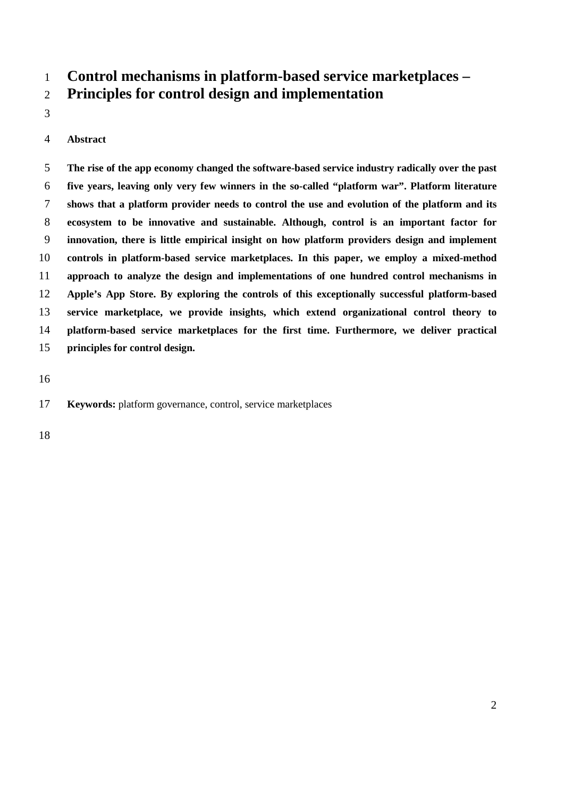# **Control mechanisms in platform-based service marketplaces –**

- **Principles for control design and implementation**
- 

## **Abstract**

 **The rise of the app economy changed the software-based service industry radically over the past five years, leaving only very few winners in the so-called "platform war". Platform literature shows that a platform provider needs to control the use and evolution of the platform and its ecosystem to be innovative and sustainable. Although, control is an important factor for innovation, there is little empirical insight on how platform providers design and implement controls in platform-based service marketplaces. In this paper, we employ a mixed-method approach to analyze the design and implementations of one hundred control mechanisms in Apple's App Store. By exploring the controls of this exceptionally successful platform-based service marketplace, we provide insights, which extend organizational control theory to platform-based service marketplaces for the first time. Furthermore, we deliver practical principles for control design.**

**Keywords:** platform governance, control, service marketplaces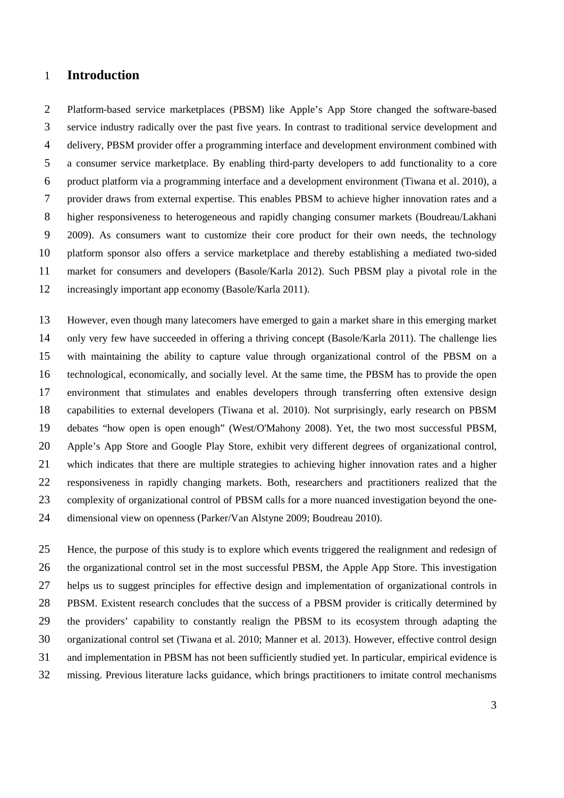# **Introduction**

 Platform-based service marketplaces (PBSM) like Apple's App Store changed the software-based service industry radically over the past five years. In contrast to traditional service development and delivery, PBSM provider offer a programming interface and development environment combined with a consumer service marketplace. By enabling third-party developers to add functionality to a core product platform via a programming interface and a development environment [\(Tiwana et al. 2010\)](#page-30-0), a provider draws from external expertise. This enables PBSM to achieve higher innovation rates and a higher responsiveness to heterogeneous and rapidly changing consumer markets [\(Boudreau/Lakhani](#page-27-0)  [2009\)](#page-27-0). As consumers want to customize their core product for their own needs, the technology platform sponsor also offers a service marketplace and thereby establishing a mediated two-sided market for consumers and developers [\(Basole/Karla 2012\)](#page-26-0). Such PBSM play a pivotal role in the increasingly important app economy [\(Basole/Karla 2011\)](#page-26-1).

 However, even though many latecomers have emerged to gain a market share in this emerging market only very few have succeeded in offering a thriving concept [\(Basole/Karla 2011\)](#page-26-1). The challenge lies with maintaining the ability to capture value through organizational control of the PBSM on a technological, economically, and socially level. At the same time, the PBSM has to provide the open environment that stimulates and enables developers through transferring often extensive design capabilities to external developers [\(Tiwana et al. 2010\)](#page-30-0). Not surprisingly, early research on PBSM debates "how open is open enough" [\(West/O'Mahony 2008\)](#page-30-1). Yet, the two most successful PBSM, Apple's App Store and Google Play Store, exhibit very different degrees of organizational control, which indicates that there are multiple strategies to achieving higher innovation rates and a higher responsiveness in rapidly changing markets. Both, researchers and practitioners realized that the complexity of organizational control of PBSM calls for a more nuanced investigation beyond the one-dimensional view on openness [\(Parker/Van Alstyne 2009;](#page-29-0) [Boudreau 2010\)](#page-26-2).

 Hence, the purpose of this study is to explore which events triggered the realignment and redesign of the organizational control set in the most successful PBSM, the Apple App Store. This investigation helps us to suggest principles for effective design and implementation of organizational controls in PBSM. Existent research concludes that the success of a PBSM provider is critically determined by the providers' capability to constantly realign the PBSM to its ecosystem through adapting the organizational control set [\(Tiwana et al. 2010;](#page-30-0) [Manner et al. 2013\)](#page-29-1). However, effective control design and implementation in PBSM has not been sufficiently studied yet. In particular, empirical evidence is missing. Previous literature lacks guidance, which brings practitioners to imitate control mechanisms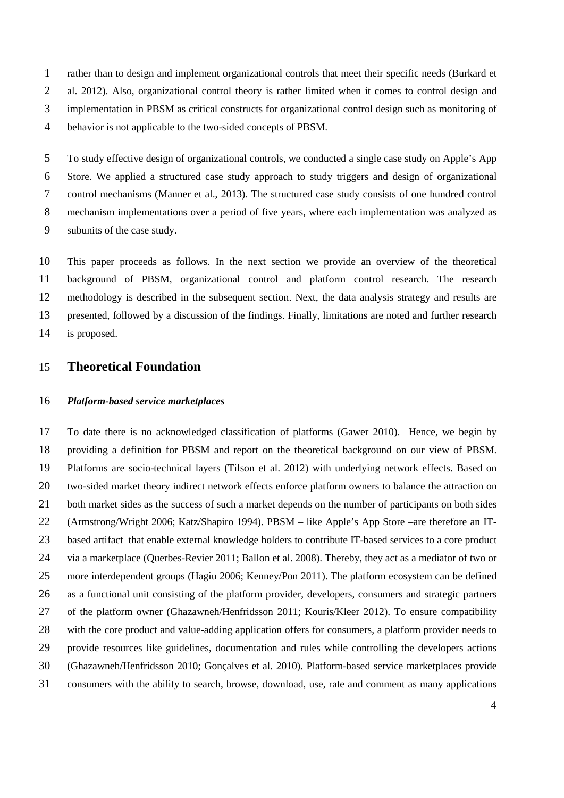rather than to design and implement organizational controls that meet their specific needs [\(Burkard et](#page-27-1)  [al. 2012\)](#page-27-1). Also, organizational control theory is rather limited when it comes to control design and implementation in PBSM as critical constructs for organizational control design such as monitoring of behavior is not applicable to the two-sided concepts of PBSM.

 To study effective design of organizational controls, we conducted a single case study on Apple's App Store. We applied a structured case study approach to study triggers and design of organizational control mechanisms (Manner et al., 2013). The structured case study consists of one hundred control mechanism implementations over a period of five years, where each implementation was analyzed as subunits of the case study.

 This paper proceeds as follows. In the next section we provide an overview of the theoretical background of PBSM, organizational control and platform control research. The research methodology is described in the subsequent section. Next, the data analysis strategy and results are presented, followed by a discussion of the findings. Finally, limitations are noted and further research is proposed.

#### **Theoretical Foundation**

#### *Platform-based service marketplaces*

 To date there is no acknowledged classification of platforms [\(Gawer 2010\)](#page-28-0). Hence, we begin by providing a definition for PBSM and report on the theoretical background on our view of PBSM. Platforms are socio-technical layers [\(Tilson et al. 2012\)](#page-30-2) with underlying network effects. Based on two-sided market theory indirect network effects enforce platform owners to balance the attraction on both market sides as the success of such a market depends on the number of participants on both sides [\(Armstrong/Wright 2006;](#page-26-3) [Katz/Shapiro 1994\)](#page-28-1). PBSM – like Apple's App Store –are therefore an IT- based artifact that enable external knowledge holders to contribute IT-based services to a core product via a marketplace [\(Querbes-Revier 2011;](#page-29-2) [Ballon et al. 2008\)](#page-26-4). Thereby, they act as a mediator of two or more interdependent groups [\(Hagiu 2006;](#page-28-2) [Kenney/Pon 2011\)](#page-28-3). The platform ecosystem can be defined as a functional unit consisting of the platform provider, developers, consumers and strategic partners of the platform owner [\(Ghazawneh/Henfridsson 2011;](#page-28-4) [Kouris/Kleer 2012\)](#page-29-3). To ensure compatibility with the core product and value-adding application offers for consumers, a platform provider needs to provide resources like guidelines, documentation and rules while controlling the developers actions [\(Ghazawneh/Henfridsson 2010;](#page-28-5) [Gonçalves et al. 2010\)](#page-28-6). Platform-based service marketplaces provide consumers with the ability to search, browse, download, use, rate and comment as many applications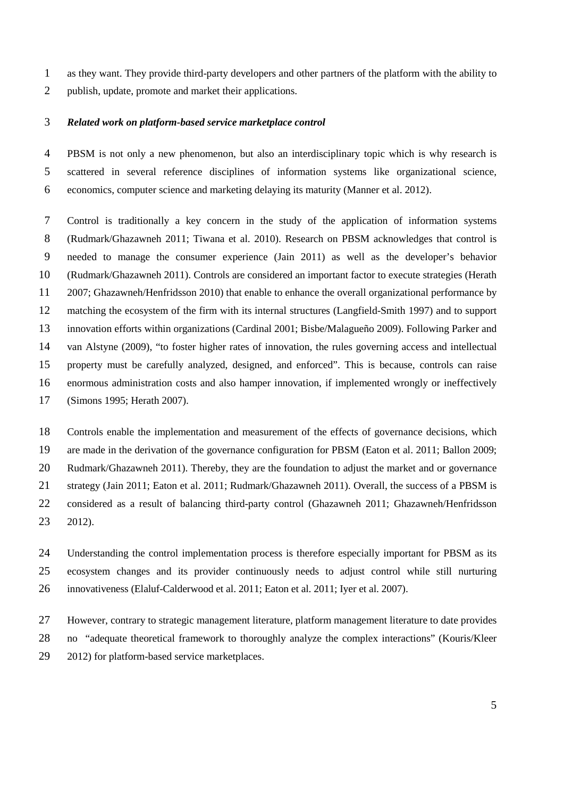as they want. They provide third-party developers and other partners of the platform with the ability to publish, update, promote and market their applications.

#### *Related work on platform-based service marketplace control*

 PBSM is not only a new phenomenon, but also an interdisciplinary topic which is why research is scattered in several reference disciplines of information systems like organizational science, economics, computer science and marketing delaying its maturity [\(Manner et al. 2012\)](#page-29-4).

 Control is traditionally a key concern in the study of the application of information systems [\(Rudmark/Ghazawneh 2011;](#page-30-3) [Tiwana et al. 2010\)](#page-30-0). Research on PBSM acknowledges that control is needed to manage the consumer experience [\(Jain 2011\)](#page-28-7) as well as the developer's behavior [\(Rudmark/Ghazawneh 2011\)](#page-30-3). Controls are considered an important factor to execute strategies [\(Herath](#page-28-8)  [2007;](#page-28-8) [Ghazawneh/Henfridsson 2010\)](#page-28-5) that enable to enhance the overall organizational performance by matching the ecosystem of the firm with its internal structures [\(Langfield-Smith](#page-29-5) 1997) and to support innovation efforts within organizations [\(Cardinal 2001;](#page-27-2) [Bisbe/Malagueño 2009\)](#page-26-5). Following Parker and van Alstyne [\(2009\)](#page-29-0), "to foster higher rates of innovation, the rules governing access and intellectual property must be carefully analyzed, designed, and enforced". This is because, controls can raise enormous administration costs and also hamper innovation, if implemented wrongly or ineffectively [\(Simons 1995;](#page-30-4) [Herath 2007\)](#page-28-8).

 Controls enable the implementation and measurement of the effects of governance decisions, which are made in the derivation of the governance configuration for PBSM [\(Eaton et al. 2011;](#page-27-3) [Ballon 2009;](#page-26-6) [Rudmark/Ghazawneh 2011\)](#page-30-3). Thereby, they are the foundation to adjust the market and or governance strategy [\(Jain 2011;](#page-28-7) [Eaton et al. 2011;](#page-27-3) [Rudmark/Ghazawneh 2011\)](#page-30-3). Overall, the success of a PBSM is considered as a result of balancing third-party control (Ghazawneh 2011; [Ghazawneh/Henfridsson](#page-28-9)  [2012\)](#page-28-9).

 Understanding the control implementation process is therefore especially important for PBSM as its ecosystem changes and its provider continuously needs to adjust control while still nurturing innovativeness [\(Elaluf-Calderwood et al. 2011;](#page-27-4) [Eaton et al. 2011;](#page-27-3) [Iyer et al. 2007\)](#page-28-10).

 However, contrary to strategic management literature, platform management literature to date provides no "adequate theoretical framework to thoroughly analyze the complex interactions" [\(Kouris/Kleer](#page-29-3)  [2012\)](#page-29-3) for platform-based service marketplaces.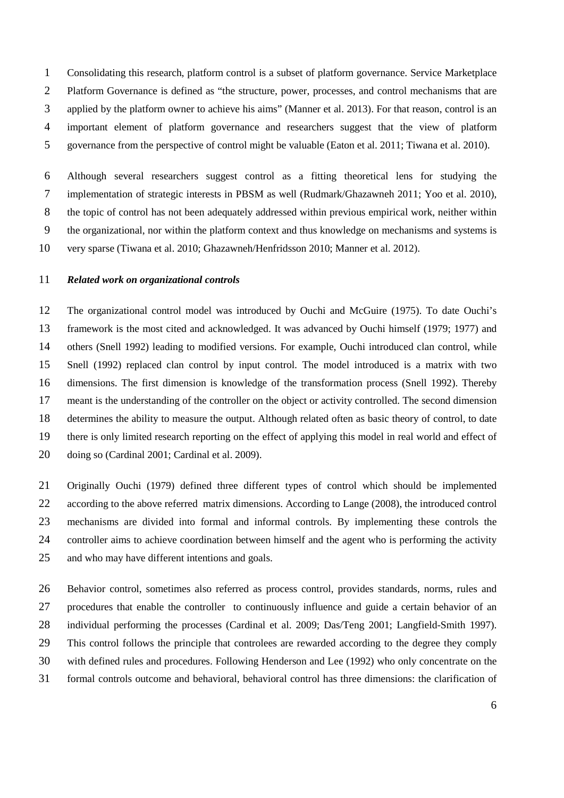Consolidating this research, platform control is a subset of platform governance. Service Marketplace Platform Governance is defined as "the structure, power, processes, and control mechanisms that are applied by the platform owner to achieve his aims" [\(Manner et al. 2013\)](#page-29-1). For that reason, control is an important element of platform governance and researchers suggest that the view of platform governance from the perspective of control might be valuable [\(Eaton et al. 2011;](#page-27-3) [Tiwana et al. 2010\)](#page-30-0).

 Although several researchers suggest control as a fitting theoretical lens for studying the implementation of strategic interests in PBSM as well [\(Rudmark/Ghazawneh 2011;](#page-30-3) [Yoo et al. 2010\)](#page-30-5), the topic of control has not been adequately addressed within previous empirical work, neither within the organizational, nor within the platform context and thus knowledge on mechanisms and systems is very sparse [\(Tiwana et al. 2010;](#page-30-0) [Ghazawneh/Henfridsson 2010;](#page-28-5) [Manner et al. 2012\)](#page-29-4).

#### *Related work on organizational controls*

 The organizational control model was introduced by Ouchi and McGuire [\(1975\)](#page-29-6). To date Ouchi's framework is the most cited and acknowledged. It was advanced by Ouchi himself [\(1979;](#page-29-7) [1977\)](#page-29-8) and others [\(Snell 1992\)](#page-30-6) leading to modified versions. For example, Ouchi introduced clan control, while Snell [\(1992\)](#page-30-6) replaced clan control by input control. The model introduced is a matrix with two dimensions. The first dimension is knowledge of the transformation process [\(Snell 1992\)](#page-30-6). Thereby meant is the understanding of the controller on the object or activity controlled. The second dimension determines the ability to measure the output. Although related often as basic theory of control, to date there is only limited research reporting on the effect of applying this model in real world and effect of doing so [\(Cardinal 2001;](#page-27-2) [Cardinal et al. 2009\)](#page-27-5).

 Originally Ouchi [\(1979\)](#page-29-7) defined three different types of control which should be implemented according to the above referred matrix dimensions. According to Lange [\(2008\)](#page-29-9), the introduced control mechanisms are divided into formal and informal controls. By implementing these controls the controller aims to achieve coordination between himself and the agent who is performing the activity and who may have different intentions and goals.

 Behavior control, sometimes also referred as process control, provides standards, norms, rules and procedures that enable the controller to continuously influence and guide a certain behavior of an individual performing the processes [\(Cardinal et al. 2009;](#page-27-5) [Das/Teng 2001;](#page-27-6) [Langfield-Smith 1997\)](#page-29-5). This control follows the principle that controlees are rewarded according to the degree they comply with defined rules and procedures. Following Henderson and Lee [\(1992\)](#page-28-11) who only concentrate on the formal controls outcome and behavioral, behavioral control has three dimensions: the clarification of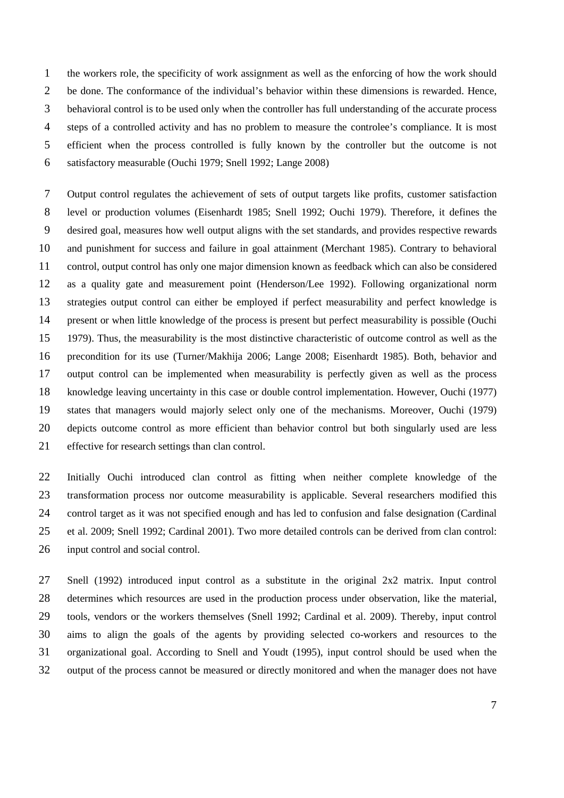the workers role, the specificity of work assignment as well as the enforcing of how the work should be done. The conformance of the individual's behavior within these dimensions is rewarded. Hence, behavioral control is to be used only when the controller has full understanding of the accurate process steps of a controlled activity and has no problem to measure the controlee's compliance. It is most efficient when the process controlled is fully known by the controller but the outcome is not satisfactory measurable [\(Ouchi 1979;](#page-29-7) [Snell 1992;](#page-30-6) [Lange 2008\)](#page-29-9)

 Output control regulates the achievement of sets of output targets like profits, customer satisfaction level or production volumes [\(Eisenhardt 1985;](#page-27-7) [Snell 1992;](#page-30-6) [Ouchi 1979\)](#page-29-7). Therefore, it defines the desired goal, measures how well output aligns with the set standards, and provides respective rewards and punishment for success and failure in goal attainment [\(Merchant 1985\)](#page-29-10). Contrary to behavioral control, output control has only one major dimension known as feedback which can also be considered as a quality gate and measurement point [\(Henderson/Lee 1992\)](#page-28-11). Following organizational norm strategies output control can either be employed if perfect measurability and perfect knowledge is present or when little knowledge of the process is present but perfect measurability is possible [\(Ouchi](#page-29-7)  [1979\)](#page-29-7). Thus, the measurability is the most distinctive characteristic of outcome control as well as the precondition for its use [\(Turner/Makhija 2006;](#page-30-7) [Lange 2008;](#page-29-9) [Eisenhardt 1985\)](#page-27-7). Both, behavior and output control can be implemented when measurability is perfectly given as well as the process knowledge leaving uncertainty in this case or double control implementation. However, Ouchi [\(1977\)](#page-29-8) states that managers would majorly select only one of the mechanisms. Moreover, Ouchi [\(1979\)](#page-29-7) depicts outcome control as more efficient than behavior control but both singularly used are less effective for research settings than clan control.

 Initially Ouchi introduced clan control as fitting when neither complete knowledge of the transformation process nor outcome measurability is applicable. Several researchers modified this control target as it was not specified enough and has led to confusion and false designation [\(Cardinal](#page-27-5)  [et al. 2009;](#page-27-5) [Snell 1992;](#page-30-6) [Cardinal 2001\)](#page-27-2). Two more detailed controls can be derived from clan control: input control and social control.

 Snell [\(1992\)](#page-30-6) introduced input control as a substitute in the original 2x2 matrix. Input control determines which resources are used in the production process under observation, like the material, tools, vendors or the workers themselves [\(Snell 1992;](#page-30-6) [Cardinal et al. 2009\)](#page-27-5). Thereby, input control aims to align the goals of the agents by providing selected co-workers and resources to the organizational goal. According to Snell and Youdt [\(1995\)](#page-30-8), input control should be used when the output of the process cannot be measured or directly monitored and when the manager does not have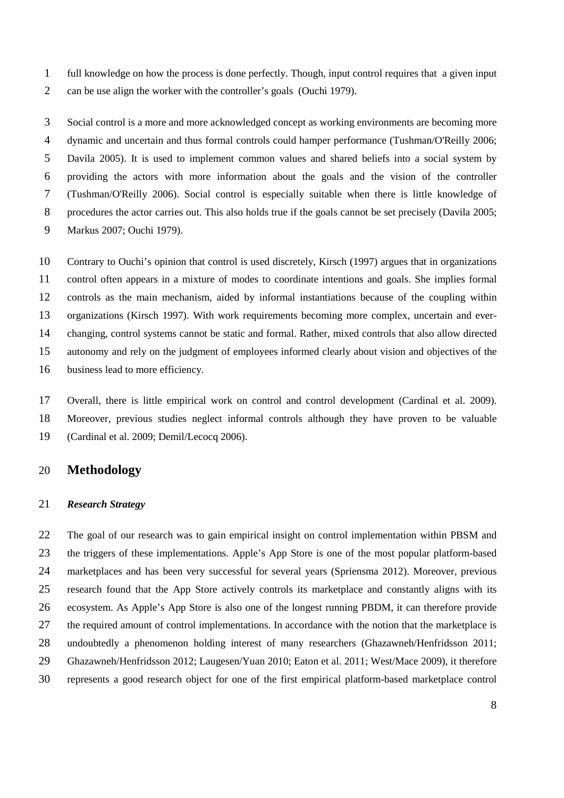full knowledge on how the process is done perfectly. Though, input control requires that a given input can be use align the worker with the controller's goals [\(Ouchi 1979\)](#page-29-7).

 Social control is a more and more acknowledged concept as working environments are becoming more dynamic and uncertain and thus formal controls could hamper performance [\(Tushman/O'Reilly 2006;](#page-30-9) [Davila 2005\)](#page-27-8). It is used to implement common values and shared beliefs into a social system by providing the actors with more information about the goals and the vision of the controller [\(Tushman/O'Reilly 2006\)](#page-30-9). Social control is especially suitable when there is little knowledge of 8 procedures the actor carries out. This also holds true if the goals cannot be set precisely [\(Davila 2005;](#page-27-8) [Markus 2007;](#page-29-11) [Ouchi 1979\)](#page-29-7).

 Contrary to Ouchi's opinion that control is used discretely, Kirsch [\(1997\)](#page-29-12) argues that in organizations control often appears in a mixture of modes to coordinate intentions and goals. She implies formal controls as the main mechanism, aided by informal instantiations because of the coupling within organizations [\(Kirsch 1997\)](#page-29-12). With work requirements becoming more complex, uncertain and ever- changing, control systems cannot be static and formal. Rather, mixed controls that also allow directed autonomy and rely on the judgment of employees informed clearly about vision and objectives of the business lead to more efficiency.

 Overall, there is little empirical work on control and control development [\(Cardinal et al. 2009\)](#page-27-5). Moreover, previous studies neglect informal controls although they have proven to be valuable [\(Cardinal et al. 2009;](#page-27-5) [Demil/Lecocq 2006\)](#page-27-9).

#### **Methodology**

#### *Research Strategy*

 The goal of our research was to gain empirical insight on control implementation within PBSM and the triggers of these implementations. Apple's App Store is one of the most popular platform-based marketplaces and has been very successful for several years [\(Spriensma 2012\)](#page-30-10). Moreover, previous research found that the App Store actively controls its marketplace and constantly aligns with its ecosystem. As Apple's App Store is also one of the longest running PBDM, it can therefore provide the required amount of control implementations. In accordance with the notion that the marketplace is undoubtedly a phenomenon holding interest of many researchers [\(Ghazawneh/Henfridsson 2011;](#page-28-4) [Ghazawneh/Henfridsson 2012;](#page-28-9) [Laugesen/Yuan 2010;](#page-29-13) [Eaton et al. 2011;](#page-27-3) [West/Mace 2009\)](#page-30-11), it therefore represents a good research object for one of the first empirical platform-based marketplace control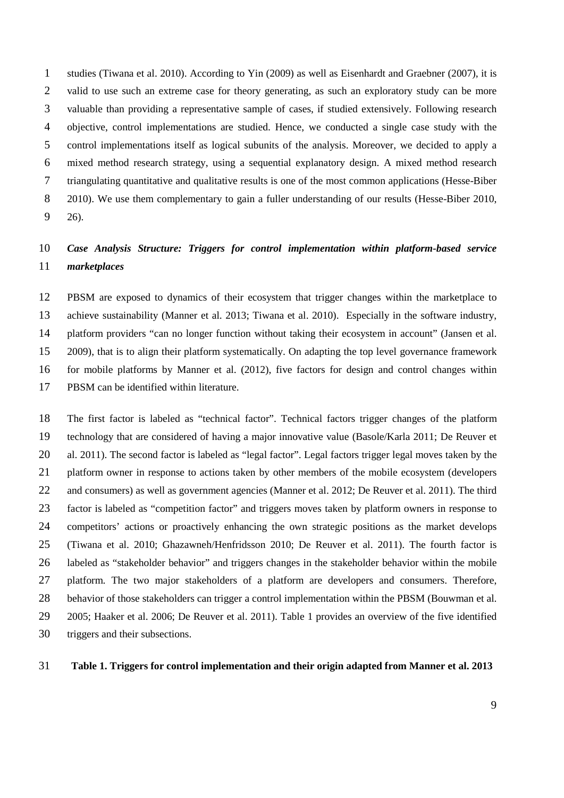studies [\(Tiwana et al. 2010\)](#page-30-0). According to Yin [\(2009\)](#page-30-12) as well as Eisenhardt and Graebner [\(2007\)](#page-27-10), it is 2 valid to use such an extreme case for theory generating, as such an exploratory study can be more valuable than providing a representative sample of cases, if studied extensively. Following research objective, control implementations are studied. Hence, we conducted a single case study with the control implementations itself as logical subunits of the analysis. Moreover, we decided to apply a mixed method research strategy, using a sequential explanatory design. A mixed method research triangulating quantitative and qualitative results is one of the most common applications [\(Hesse-Biber](#page-28-12)  [2010\)](#page-28-12). We use them complementary to gain a fuller understanding of our results (Hesse-Biber 2010, [26\)](#page-28-12).

# *Case Analysis Structure: Triggers for control implementation within platform-based service marketplaces*

 PBSM are exposed to dynamics of their ecosystem that trigger changes within the marketplace to achieve sustainability [\(Manner et al. 2013;](#page-29-1) [Tiwana et al. 2010\)](#page-30-0). Especially in the software industry, platform providers "can no longer function without taking their ecosystem in account" [\(Jansen et al.](#page-28-13)  [2009\)](#page-28-13), that is to align their platform systematically. On adapting the top level governance framework for mobile platforms by Manner et al. [\(2012\)](#page-29-4), five factors for design and control changes within PBSM can be identified within literature.

 The first factor is labeled as "technical factor". Technical factors trigger changes of the platform technology that are considered of having a major innovative value [\(Basole/Karla 2011;](#page-26-1) [De Reuver et](#page-27-11)  [al. 2011\)](#page-27-11). The second factor is labeled as "legal factor". Legal factors trigger legal moves taken by the platform owner in response to actions taken by other members of the mobile ecosystem (developers and consumers) as well as government agencies [\(Manner et al. 2012;](#page-29-4) [De Reuver et al. 2011\)](#page-27-11). The third factor is labeled as "competition factor" and triggers moves taken by platform owners in response to competitors' actions or proactively enhancing the own strategic positions as the market develops [\(Tiwana et al. 2010;](#page-30-0) [Ghazawneh/Henfridsson 2010;](#page-28-5) [De Reuver et al. 2011\)](#page-27-11). The fourth factor is labeled as "stakeholder behavior" and triggers changes in the stakeholder behavior within the mobile platform. The two major stakeholders of a platform are developers and consumers. Therefore, behavior of those stakeholders can trigger a control implementation within the PBSM [\(Bouwman et al.](#page-27-12)  [2005;](#page-27-12) [Haaker et al. 2006;](#page-28-14) [De Reuver et al. 2011\)](#page-27-11). [Table 1](#page-8-0) provides an overview of the five identified triggers and their subsections.

#### <span id="page-8-0"></span>**Table 1. Triggers for control implementation and their origin adapted from Manner et al. 2013**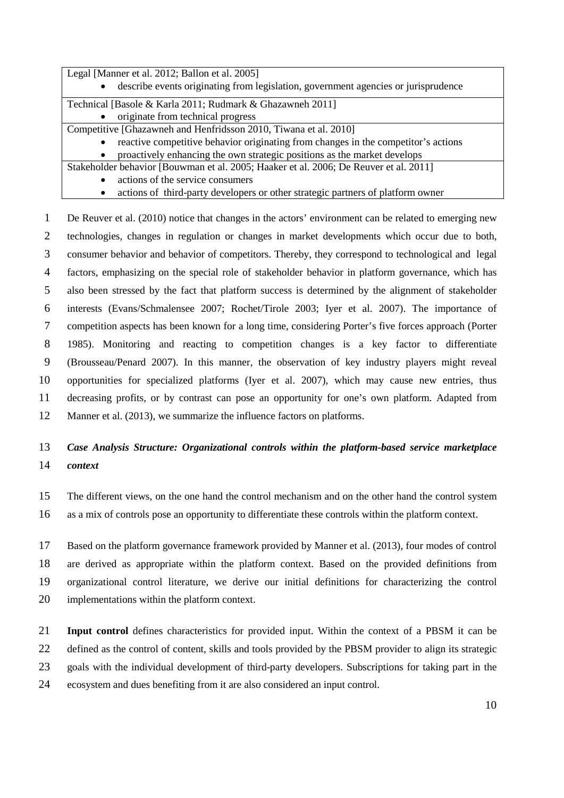Legal [Manner et al. 2012; Ballon et al. 2005] describe events originating from legislation, government agencies or jurisprudence Technical [Basole & Karla 2011; Rudmark & Ghazawneh 2011] • originate from technical progress Competitive [Ghazawneh and Henfridsson 2010, Tiwana et al. 2010] reactive competitive behavior originating from changes in the competitor's actions • proactively enhancing the own strategic positions as the market develops Stakeholder behavior [\[Bouwman et al. 2005;](#page-27-12) [Haaker et al. 2006;](#page-28-6) [De Reuver et al. 2011\]](#page-27-11) • actions of the service consumers • actions of third-party developers or other strategic partners of platform owner

 De Reuver et al. [\(2010\)](#page-27-13) notice that changes in the actors' environment can be related to emerging new technologies, changes in regulation or changes in market developments which occur due to both, consumer behavior and behavior of competitors. Thereby, they correspond to technological and legal factors, emphasizing on the special role of stakeholder behavior in platform governance, which has also been stressed by the fact that platform success is determined by the alignment of stakeholder interests [\(Evans/Schmalensee 2007;](#page-28-15) [Rochet/Tirole 2003;](#page-29-14) [Iyer et al. 2007\)](#page-28-10). The importance of competition aspects has been known for a long time, considering Porter's five forces approach [\(Porter](#page-29-15)  [1985\)](#page-29-15). Monitoring and reacting to competition changes is a key factor to differentiate [\(Brousseau/Penard 2007\)](#page-27-14). In this manner, the observation of key industry players might reveal opportunities for specialized platforms [\(Iyer et al. 2007\)](#page-28-10), which may cause new entries, thus decreasing profits, or by contrast can pose an opportunity for one's own platform. Adapted from 12 Manner et al. [\(2013\)](#page-29-1), we summarize the influence factors on platforms.

# *Case Analysis Structure: Organizational controls within the platform-based service marketplace context*

- The different views, on the one hand the control mechanism and on the other hand the control system
- as a mix of controls pose an opportunity to differentiate these controls within the platform context.

 Based on the platform governance framework provided by Manner et al. [\(2013\)](#page-29-1), four modes of control are derived as appropriate within the platform context. Based on the provided definitions from organizational control literature, we derive our initial definitions for characterizing the control implementations within the platform context.

 **Input control** defines characteristics for provided input. Within the context of a PBSM it can be defined as the control of content, skills and tools provided by the PBSM provider to align its strategic goals with the individual development of third-party developers. Subscriptions for taking part in the ecosystem and dues benefiting from it are also considered an input control.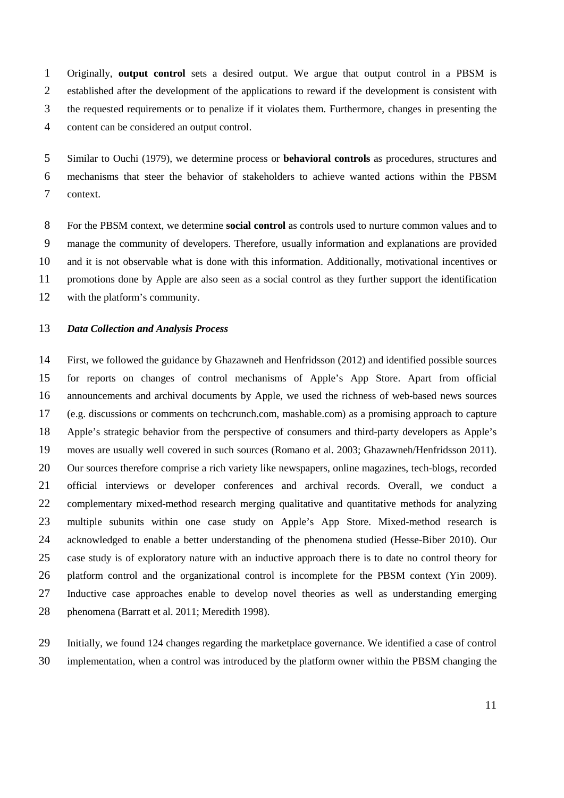Originally, **output control** sets a desired output. We argue that output control in a PBSM is established after the development of the applications to reward if the development is consistent with the requested requirements or to penalize if it violates them. Furthermore, changes in presenting the content can be considered an output control.

 Similar to Ouchi [\(1979\)](#page-29-7), we determine process or **behavioral controls** as procedures, structures and mechanisms that steer the behavior of stakeholders to achieve wanted actions within the PBSM context.

 For the PBSM context, we determine **social control** as controls used to nurture common values and to manage the community of developers. Therefore, usually information and explanations are provided and it is not observable what is done with this information. Additionally, motivational incentives or promotions done by Apple are also seen as a social control as they further support the identification with the platform's community.

#### *Data Collection and Analysis Process*

 First, we followed the guidance by Ghazawneh and Henfridsson [\(2012\)](#page-28-9) and identified possible sources for reports on changes of control mechanisms of Apple's App Store. Apart from official announcements and archival documents by Apple, we used the richness of web-based news sources (e.g. discussions or comments on techcrunch.com, mashable.com) as a promising approach to capture Apple's strategic behavior from the perspective of consumers and third-party developers as Apple's moves are usually well covered in such sources [\(Romano et al. 2003;](#page-30-13) [Ghazawneh/Henfridsson 2011\)](#page-28-4). Our sources therefore comprise a rich variety like newspapers, online magazines, tech-blogs, recorded official interviews or developer conferences and archival records. Overall, we conduct a complementary mixed-method research merging qualitative and quantitative methods for analyzing multiple subunits within one case study on Apple's App Store. Mixed-method research is acknowledged to enable a better understanding of the phenomena studied [\(Hesse-Biber 2010\)](#page-28-12). Our case study is of exploratory nature with an inductive approach there is to date no control theory for platform control and the organizational control is incomplete for the PBSM context [\(Yin 2009\)](#page-30-12). Inductive case approaches enable to develop novel theories as well as understanding emerging 28 phenomena [\(Barratt et al. 2011;](#page-26-7) [Meredith 1998\)](#page-29-16).

 Initially, we found 124 changes regarding the marketplace governance. We identified a case of control implementation, when a control was introduced by the platform owner within the PBSM changing the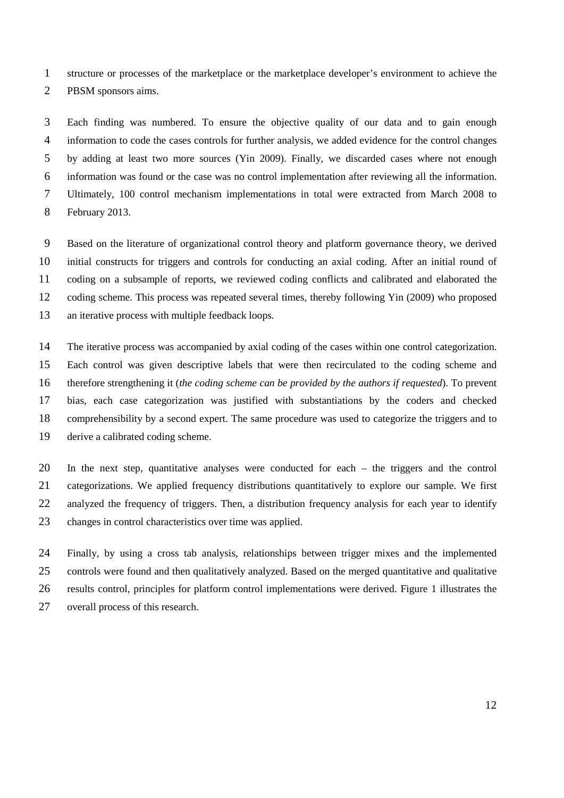structure or processes of the marketplace or the marketplace developer's environment to achieve the PBSM sponsors aims.

 Each finding was numbered. To ensure the objective quality of our data and to gain enough information to code the cases controls for further analysis, we added evidence for the control changes by adding at least two more sources (Yin 2009). Finally, we discarded cases where not enough information was found or the case was no control implementation after reviewing all the information. Ultimately, 100 control mechanism implementations in total were extracted from March 2008 to February 2013.

 Based on the literature of organizational control theory and platform governance theory, we derived initial constructs for triggers and controls for conducting an axial coding. After an initial round of coding on a subsample of reports, we reviewed coding conflicts and calibrated and elaborated the coding scheme. This process was repeated several times, thereby following Yin (2009) who proposed an iterative process with multiple feedback loops.

 The iterative process was accompanied by axial coding of the cases within one control categorization. Each control was given descriptive labels that were then recirculated to the coding scheme and therefore strengthening it (*the coding scheme can be provided by the authors if requested*). To prevent bias, each case categorization was justified with substantiations by the coders and checked comprehensibility by a second expert. The same procedure was used to categorize the triggers and to derive a calibrated coding scheme.

 In the next step, quantitative analyses were conducted for each – the triggers and the control categorizations. We applied frequency distributions quantitatively to explore our sample. We first 22 analyzed the frequency of triggers. Then, a distribution frequency analysis for each year to identify changes in control characteristics over time was applied.

 Finally, by using a cross tab analysis, relationships between trigger mixes and the implemented controls were found and then qualitatively analyzed. Based on the merged quantitative and qualitative results control, principles for platform control implementations were derived. Figure 1 illustrates the overall process of this research.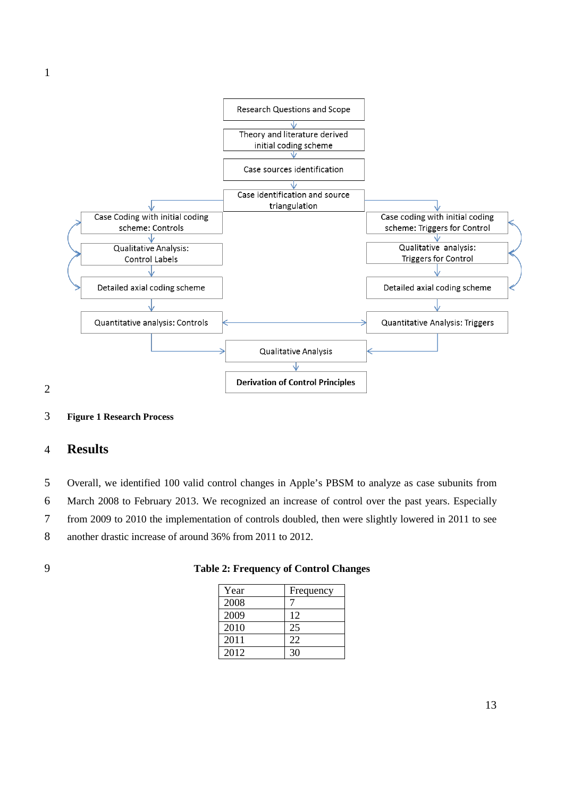

#### **Figure 1 Research Process**

### **Results**

Overall, we identified 100 valid control changes in Apple's PBSM to analyze as case subunits from

March 2008 to February 2013. We recognized an increase of control over the past years. Especially

from 2009 to 2010 the implementation of controls doubled, then were slightly lowered in 2011 to see

another drastic increase of around 36% from 2011 to 2012.

# **Table 2: Frequency of Control Changes**

| Year | Frequency |
|------|-----------|
| 2008 |           |
| 2009 | 12        |
| 2010 | 25        |
| 2011 | 22        |
| 2012 | 30        |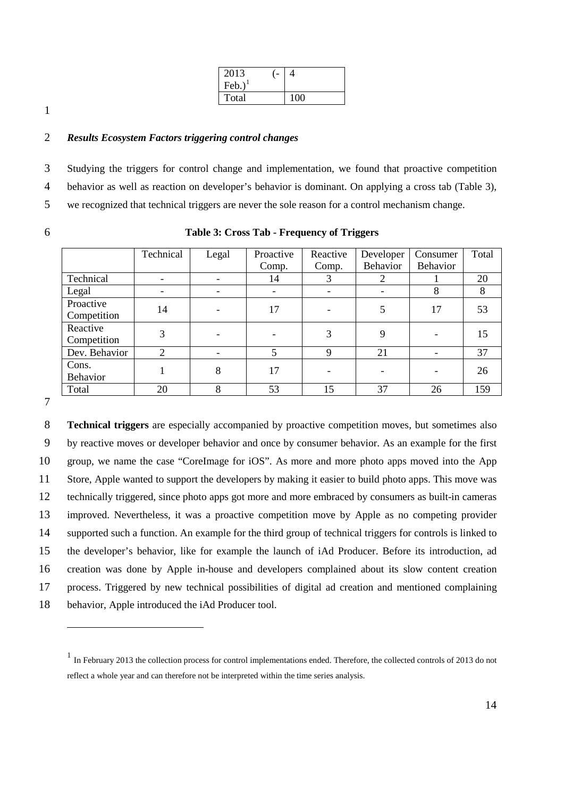| 2013  |     |
|-------|-----|
| Feb.) |     |
| Total | 100 |

1

#### 2 *Results Ecosystem Factors triggering control changes*

3 Studying the triggers for control change and implementation, we found that proactive competition 4 behavior as well as reaction on developer's behavior is dominant. On applying a cross tab [\(Table 3\)](#page-13-0),

5 we recognized that technical triggers are never the sole reason for a control mechanism change.

|        | ٧        |         |
|--------|----------|---------|
|        | I<br>. . |         |
| ł<br>× |          | I<br>۰. |

<span id="page-13-0"></span>

|  |  | Table 3: Cross Tab - Frequency of Triggers |
|--|--|--------------------------------------------|
|--|--|--------------------------------------------|

|               | Technical | Legal | Proactive | Reactive | Developer | Consumer | Total |
|---------------|-----------|-------|-----------|----------|-----------|----------|-------|
|               |           |       | Comp.     | Comp.    | Behavior  | Behavior |       |
| Technical     |           |       | 14        | 3        |           |          | 20    |
| Legal         |           |       | -         |          |           | 8        | 8     |
| Proactive     | 14        |       | 17        |          | 5         | 17       | 53    |
| Competition   |           |       |           |          |           |          |       |
| Reactive      | 3         |       |           | 3        | 9         |          | 15    |
| Competition   |           |       |           |          |           |          |       |
| Dev. Behavior | 2         |       | 5         | 9        | 21        |          | 37    |
| Cons.         |           | 8     | 17        |          |           |          | 26    |
| Behavior      |           |       |           |          |           |          |       |
| Total         | 20        | 8     | 53        | 15       | 37        | 26       | 159   |

7

-

 **Technical triggers** are especially accompanied by proactive competition moves, but sometimes also by reactive moves or developer behavior and once by consumer behavior. As an example for the first group, we name the case "CoreImage for iOS". As more and more photo apps moved into the App Store, Apple wanted to support the developers by making it easier to build photo apps. This move was technically triggered, since photo apps got more and more embraced by consumers as built-in cameras improved. Nevertheless, it was a proactive competition move by Apple as no competing provider supported such a function. An example for the third group of technical triggers for controls is linked to the developer's behavior, like for example the launch of iAd Producer. Before its introduction, ad creation was done by Apple in-house and developers complained about its slow content creation process. Triggered by new technical possibilities of digital ad creation and mentioned complaining behavior, Apple introduced the iAd Producer tool.

<span id="page-13-1"></span><sup>&</sup>lt;sup>1</sup> In February 2013 the collection process for control implementations ended. Therefore, the collected controls of 2013 do not reflect a whole year and can therefore not be interpreted within the time series analysis.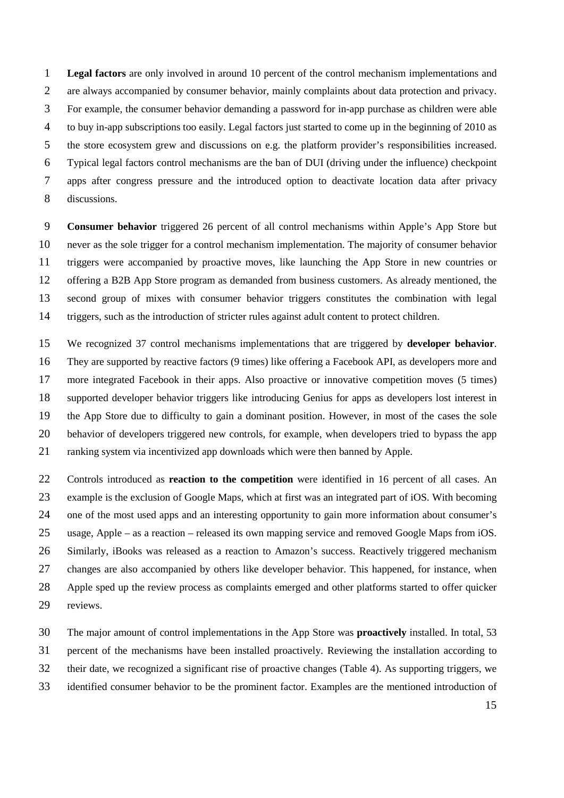**Legal factors** are only involved in around 10 percent of the control mechanism implementations and 2 are always accompanied by consumer behavior, mainly complaints about data protection and privacy. For example, the consumer behavior demanding a password for in-app purchase as children were able to buy in-app subscriptions too easily. Legal factors just started to come up in the beginning of 2010 as the store ecosystem grew and discussions on e.g. the platform provider's responsibilities increased. Typical legal factors control mechanisms are the ban of DUI (driving under the influence) checkpoint apps after congress pressure and the introduced option to deactivate location data after privacy discussions.

 **Consumer behavior** triggered 26 percent of all control mechanisms within Apple's App Store but never as the sole trigger for a control mechanism implementation. The majority of consumer behavior triggers were accompanied by proactive moves, like launching the App Store in new countries or offering a B2B App Store program as demanded from business customers. As already mentioned, the second group of mixes with consumer behavior triggers constitutes the combination with legal triggers, such as the introduction of stricter rules against adult content to protect children.

 We recognized 37 control mechanisms implementations that are triggered by **developer behavior**. They are supported by reactive factors (9 times) like offering a Facebook API, as developers more and more integrated Facebook in their apps. Also proactive or innovative competition moves (5 times) supported developer behavior triggers like introducing Genius for apps as developers lost interest in the App Store due to difficulty to gain a dominant position. However, in most of the cases the sole behavior of developers triggered new controls, for example, when developers tried to bypass the app ranking system via incentivized app downloads which were then banned by Apple.

 Controls introduced as **reaction to the competition** were identified in 16 percent of all cases. An example is the exclusion of Google Maps, which at first was an integrated part of iOS. With becoming one of the most used apps and an interesting opportunity to gain more information about consumer's usage, Apple – as a reaction – released its own mapping service and removed Google Maps from iOS. Similarly, iBooks was released as a reaction to Amazon's success. Reactively triggered mechanism changes are also accompanied by others like developer behavior. This happened, for instance, when Apple sped up the review process as complaints emerged and other platforms started to offer quicker reviews.

 The major amount of control implementations in the App Store was **proactively** installed. In total, 53 percent of the mechanisms have been installed proactively. Reviewing the installation according to their date, we recognized a significant rise of proactive changes [\(Table 4\)](#page-15-0). As supporting triggers, we identified consumer behavior to be the prominent factor. Examples are the mentioned introduction of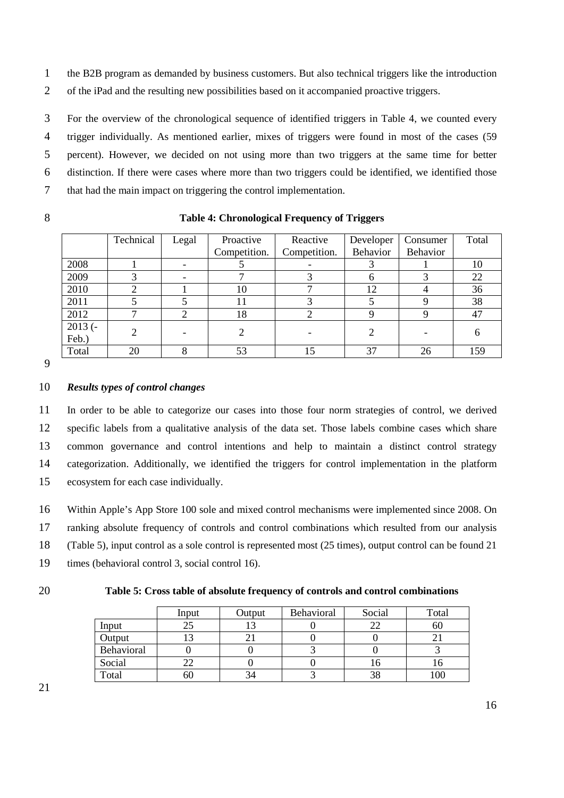1 the B2B program as demanded by business customers. But also technical triggers like the introduction 2 of the iPad and the resulting new possibilities based on it accompanied proactive triggers.

 For the overview of the chronological sequence of identified triggers in [Table 4,](#page-15-0) we counted every trigger individually. As mentioned earlier, mixes of triggers were found in most of the cases (59 percent). However, we decided on not using more than two triggers at the same time for better distinction. If there were cases where more than two triggers could be identified, we identified those that had the main impact on triggering the control implementation.

<span id="page-15-0"></span>

|  | <b>Table 4: Chronological Frequency of Triggers</b> |  |  |
|--|-----------------------------------------------------|--|--|
|--|-----------------------------------------------------|--|--|

|           | Technical | Legal | Proactive<br>Reactive |              | Developer | Consumer | Total |
|-----------|-----------|-------|-----------------------|--------------|-----------|----------|-------|
|           |           |       | Competition.          | Competition. | Behavior  | Behavior |       |
| 2008      |           |       |                       |              |           |          | 10    |
| 2009      | 3         |       |                       |              | h         |          | 22    |
| 2010      |           |       | 10                    |              | 12        |          | 36    |
| 2011      |           |       |                       |              |           |          | 38    |
| 2012      |           |       | 18                    |              |           |          | 47    |
| $2013$ (- | ↑         |       |                       |              |           |          |       |
| Feb.)     |           |       |                       |              |           |          | h     |
| Total     | 20        |       | 53                    | 15           | 37        | 26       | 159   |

9

#### 10 *Results types of control changes*

 In order to be able to categorize our cases into those four norm strategies of control, we derived specific labels from a qualitative analysis of the data set. Those labels combine cases which share common governance and control intentions and help to maintain a distinct control strategy categorization. Additionally, we identified the triggers for control implementation in the platform ecosystem for each case individually.

 Within Apple's App Store 100 sole and mixed control mechanisms were implemented since 2008. On ranking absolute frequency of controls and control combinations which resulted from our analysis [\(Table 5\)](#page-15-1), input control as a sole control is represented most (25 times), output control can be found 21 times (behavioral control 3, social control 16).

<span id="page-15-1"></span>

#### 20 **Table 5: Cross table of absolute frequency of controls and control combinations**

|            | Input | Output | Behavioral | Social | Total |
|------------|-------|--------|------------|--------|-------|
| Input      | 25    |        |            | 22     | 60    |
| Output     |       |        |            |        |       |
| Behavioral |       |        |            |        |       |
| Social     | ∠∠    |        |            | 1 O    | 10    |
| Total      | 60    |        |            | 38     | 100   |

21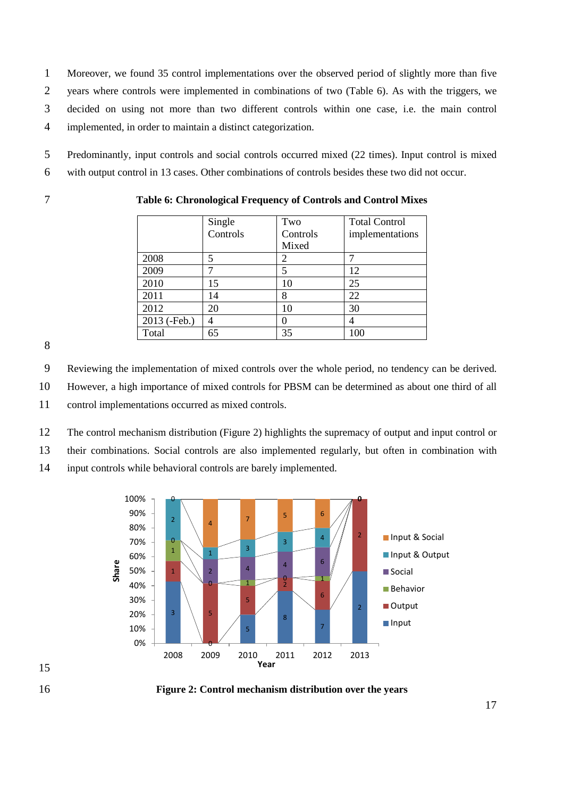Moreover, we found 35 control implementations over the observed period of slightly more than five years where controls were implemented in combinations of two [\(Table 6\)](#page-16-0). As with the triggers, we decided on using not more than two different controls within one case, i.e. the main control implemented, in order to maintain a distinct categorization.

 Predominantly, input controls and social controls occurred mixed (22 times). Input control is mixed with output control in 13 cases. Other combinations of controls besides these two did not occur.

<span id="page-16-0"></span>**Table 6: Chronological Frequency of Controls and Control Mixes**

|              | Single   | Two      | <b>Total Control</b> |
|--------------|----------|----------|----------------------|
|              | Controls | Controls | implementations      |
|              |          | Mixed    |                      |
| 2008         | 5        |          |                      |
| 2009         |          | 5        | 12                   |
| 2010         | 15       | 10       | 25                   |
| 2011         | 14       | 8        | 22                   |
| 2012         | 20       | 10       | 30                   |
| 2013 (-Feb.) | 4        |          | 4                    |
| Total        | 65       | 35       | 100                  |

Reviewing the implementation of mixed controls over the whole period, no tendency can be derived.

 However, a high importance of mixed controls for PBSM can be determined as about one third of all control implementations occurred as mixed controls.

The control mechanism distribution [\(Figure 2\)](#page-16-1) highlights the supremacy of output and input control or

their combinations. Social controls are also implemented regularly, but often in combination with

input controls while behavioral controls are barely implemented.





<span id="page-16-1"></span>**Figure 2: Control mechanism distribution over the years**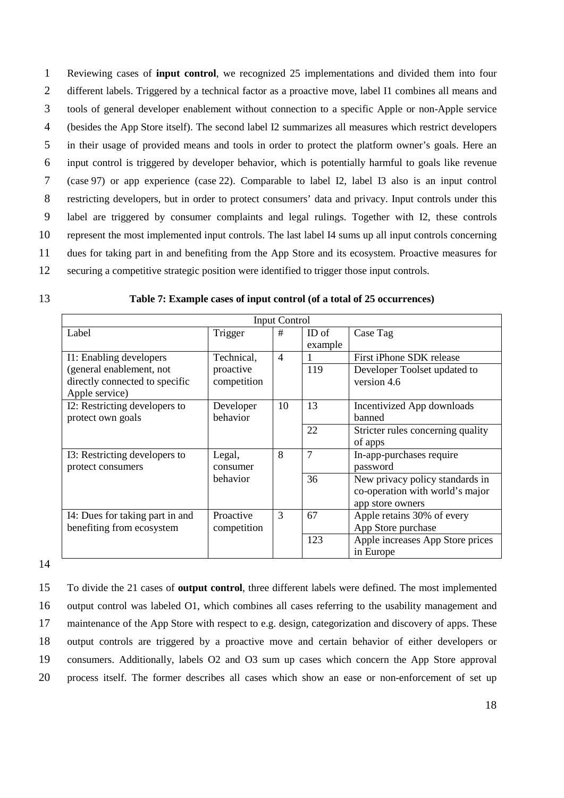Reviewing cases of **input control**, we recognized 25 implementations and divided them into four different labels. Triggered by a technical factor as a proactive move, label I1 combines all means and tools of general developer enablement without connection to a specific Apple or non-Apple service (besides the App Store itself). The second label I2 summarizes all measures which restrict developers in their usage of provided means and tools in order to protect the platform owner's goals. Here an input control is triggered by developer behavior, which is potentially harmful to goals like revenue (case 97) or app experience (case 22). Comparable to label I2, label I3 also is an input control restricting developers, but in order to protect consumers' data and privacy. Input controls under this label are triggered by consumer complaints and legal rulings. Together with I2, these controls represent the most implemented input controls. The last label I4 sums up all input controls concerning dues for taking part in and benefiting from the App Store and its ecosystem. Proactive measures for securing a competitive strategic position were identified to trigger those input controls.

|                                 | <b>Input Control</b> |    |         |                                   |  |  |  |
|---------------------------------|----------------------|----|---------|-----------------------------------|--|--|--|
| Label                           | Trigger              | #  | ID of   | Case Tag                          |  |  |  |
|                                 |                      |    | example |                                   |  |  |  |
| I1: Enabling developers         | Technical,           | 4  |         | First iPhone SDK release          |  |  |  |
| (general enablement, not        | proactive            |    | 119     | Developer Toolset updated to      |  |  |  |
| directly connected to specific  | competition          |    |         | version 4.6                       |  |  |  |
| Apple service)                  |                      |    |         |                                   |  |  |  |
| I2: Restricting developers to   | Developer            | 10 | 13      | Incentivized App downloads        |  |  |  |
| protect own goals               | behavior             |    |         | banned                            |  |  |  |
|                                 |                      |    | 22      | Stricter rules concerning quality |  |  |  |
|                                 |                      |    |         | of apps                           |  |  |  |
| I3: Restricting developers to   | Legal,               | 8  | 7       | In-app-purchases require          |  |  |  |
| protect consumers               | consumer             |    |         | password                          |  |  |  |
|                                 | behavior             |    | 36      | New privacy policy standards in   |  |  |  |
|                                 |                      |    |         | co-operation with world's major   |  |  |  |
|                                 |                      |    |         | app store owners                  |  |  |  |
| I4: Dues for taking part in and | Proactive            | 3  | 67      | Apple retains 30% of every        |  |  |  |
| benefiting from ecosystem       | competition          |    |         | App Store purchase                |  |  |  |
|                                 |                      |    | 123     | Apple increases App Store prices  |  |  |  |
|                                 |                      |    |         | in Europe                         |  |  |  |

13 **Table 7: Example cases of input control (of a total of 25 occurrences)**

14

 To divide the 21 cases of **output control**, three different labels were defined. The most implemented output control was labeled O1, which combines all cases referring to the usability management and maintenance of the App Store with respect to e.g. design, categorization and discovery of apps. These output controls are triggered by a proactive move and certain behavior of either developers or consumers. Additionally, labels O2 and O3 sum up cases which concern the App Store approval process itself. The former describes all cases which show an ease or non-enforcement of set up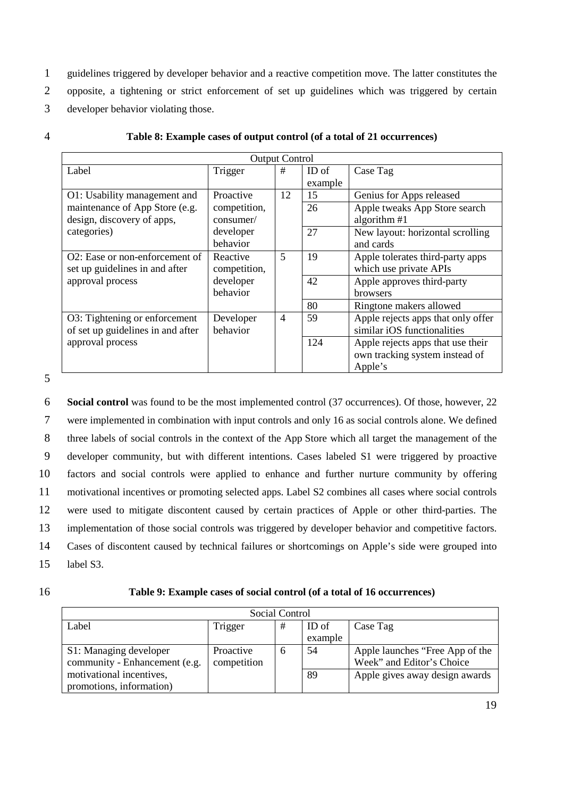- 1 guidelines triggered by developer behavior and a reactive competition move. The latter constitutes the
- 2 opposite, a tightening or strict enforcement of set up guidelines which was triggered by certain
- 3 developer behavior violating those.

|                                   | <b>Output Control</b> |                |         |                                    |  |  |  |
|-----------------------------------|-----------------------|----------------|---------|------------------------------------|--|--|--|
| Label                             | Trigger               | #              | ID of   | Case Tag                           |  |  |  |
|                                   |                       |                | example |                                    |  |  |  |
| O1: Usability management and      | Proactive             | 12             | 15      | Genius for Apps released           |  |  |  |
| maintenance of App Store (e.g.    | competition,          |                | 26      | Apple tweaks App Store search      |  |  |  |
| design, discovery of apps,        | consumer/             |                |         | algorithm $#1$                     |  |  |  |
| categories)                       | developer             |                | 27      | New layout: horizontal scrolling   |  |  |  |
|                                   | behavior              |                |         | and cards                          |  |  |  |
| O2: Ease or non-enforcement of    | Reactive              | 5              | 19      | Apple tolerates third-party apps   |  |  |  |
| set up guidelines in and after    | competition,          |                |         | which use private APIs             |  |  |  |
| approval process                  | developer             |                | 42      | Apple approves third-party         |  |  |  |
|                                   | behavior              |                |         | <b>browsers</b>                    |  |  |  |
|                                   |                       |                | 80      | Ringtone makers allowed            |  |  |  |
| O3: Tightening or enforcement     | Developer             | $\overline{4}$ | 59      | Apple rejects apps that only offer |  |  |  |
| of set up guidelines in and after | behavior              |                |         | similar iOS functionalities        |  |  |  |
| approval process                  |                       |                | 124     | Apple rejects apps that use their  |  |  |  |
|                                   |                       |                |         | own tracking system instead of     |  |  |  |
|                                   |                       |                |         | Apple's                            |  |  |  |

4 **Table 8: Example cases of output control (of a total of 21 occurrences)**

5

 **Social control** was found to be the most implemented control (37 occurrences). Of those, however, 22 were implemented in combination with input controls and only 16 as social controls alone. We defined three labels of social controls in the context of the App Store which all target the management of the developer community, but with different intentions. Cases labeled S1 were triggered by proactive factors and social controls were applied to enhance and further nurture community by offering motivational incentives or promoting selected apps. Label S2 combines all cases where social controls were used to mitigate discontent caused by certain practices of Apple or other third-parties. The implementation of those social controls was triggered by developer behavior and competitive factors. Cases of discontent caused by technical failures or shortcomings on Apple's side were grouped into label S3.

#### 16 **Table 9: Example cases of social control (of a total of 16 occurrences)**

| Social Control                                          |                          |   |         |                                                              |
|---------------------------------------------------------|--------------------------|---|---------|--------------------------------------------------------------|
| Label                                                   | Trigger                  | # | ID of   | Case Tag                                                     |
|                                                         |                          |   | example |                                                              |
| S1: Managing developer<br>community - Enhancement (e.g. | Proactive<br>competition | n | 54      | Apple launches "Free App of the<br>Week" and Editor's Choice |
| motivational incentives,<br>promotions, information)    |                          |   | 89      | Apple gives away design awards                               |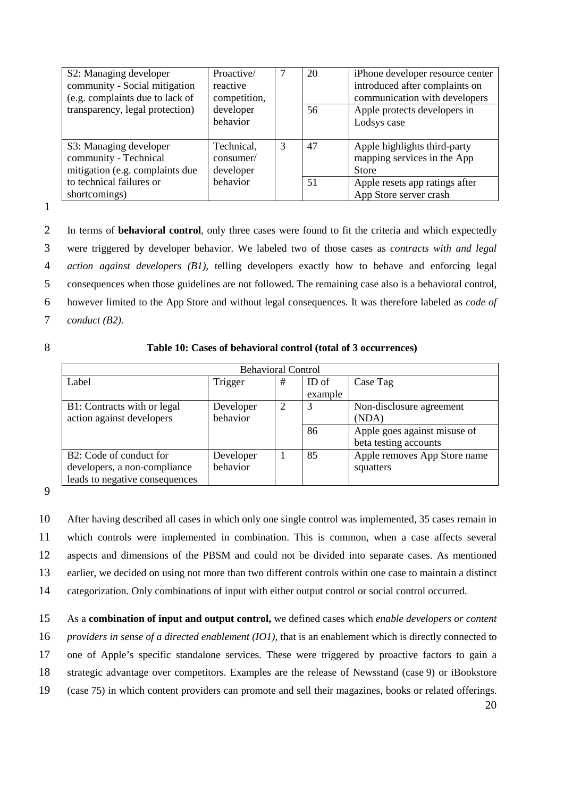| S2: Managing developer<br>community - Social mitigation<br>(e.g. complaints due to lack of | Proactive/<br>reactive<br>competition, |   | 20 | iPhone developer resource center<br>introduced after complaints on<br>communication with developers |
|--------------------------------------------------------------------------------------------|----------------------------------------|---|----|-----------------------------------------------------------------------------------------------------|
| transparency, legal protection)                                                            | developer<br>behavior                  |   | 56 | Apple protects developers in<br>Lodsys case                                                         |
| S3: Managing developer<br>community - Technical<br>mitigation (e.g. complaints due         | Technical,<br>consumer/<br>developer   | 3 | 47 | Apple highlights third-party<br>mapping services in the App<br><b>Store</b>                         |
| to technical failures or<br>shortcomings)                                                  | behavior                               |   | 51 | Apple resets app ratings after<br>App Store server crash                                            |

1

 In terms of **behavioral control**, only three cases were found to fit the criteria and which expectedly were triggered by developer behavior. We labeled two of those cases as *contracts with and legal action against developers (B1)*, telling developers exactly how to behave and enforcing legal consequences when those guidelines are not followed. The remaining case also is a behavioral control, however limited to the App Store and without legal consequences. It was therefore labeled as *code of conduct (B2).*

#### 8 **Table 10: Cases of behavioral control (total of 3 occurrences)**

| <b>Behavioral Control</b>      |           |   |         |                              |
|--------------------------------|-----------|---|---------|------------------------------|
| Label                          | Trigger   | # | ID of   | Case Tag                     |
|                                |           |   | example |                              |
| B1: Contracts with or legal    | Developer | 2 | 3       | Non-disclosure agreement     |
| action against developers      | behavior  |   |         | (NDA)                        |
|                                |           |   | 86      | Apple goes against misuse of |
|                                |           |   |         | beta testing accounts        |
| B2: Code of conduct for        | Developer |   | 85      | Apple removes App Store name |
| developers, a non-compliance   | behavior  |   |         | squatters                    |
| leads to negative consequences |           |   |         |                              |

9

 After having described all cases in which only one single control was implemented, 35 cases remain in which controls were implemented in combination. This is common, when a case affects several aspects and dimensions of the PBSM and could not be divided into separate cases. As mentioned earlier, we decided on using not more than two different controls within one case to maintain a distinct categorization. Only combinations of input with either output control or social control occurred.

20 As a **combination of input and output control,** we defined cases which *enable developers or content providers in sense of a directed enablement (IO1),* that is an enablement which is directly connected to one of Apple's specific standalone services. These were triggered by proactive factors to gain a strategic advantage over competitors. Examples are the release of Newsstand (case 9) or iBookstore (case 75) in which content providers can promote and sell their magazines, books or related offerings.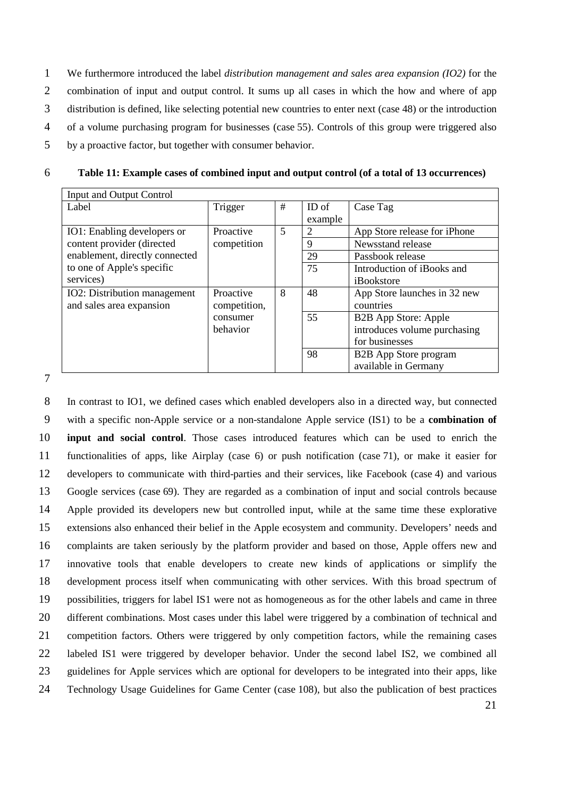- 1 We furthermore introduced the label *distribution management and sales area expansion (IO2)* for the 2 combination of input and output control. It sums up all cases in which the how and where of app 3 distribution is defined, like selecting potential new countries to enter next (case 48) or the introduction
- 4 of a volume purchasing program for businesses (case 55). Controls of this group were triggered also
- 5 by a proactive factor, but together with consumer behavior.

| <b>Input and Output Control</b> |              |   |         |                              |
|---------------------------------|--------------|---|---------|------------------------------|
| Label                           | Trigger      | # | ID of   | Case Tag                     |
|                                 |              |   | example |                              |
| IO1: Enabling developers or     | Proactive    | 5 | 2       | App Store release for iPhone |
| content provider (directed      | competition  |   | 9       | Newsstand release            |
| enablement, directly connected  |              |   | 29      | Passbook release             |
| to one of Apple's specific      |              |   | 75      | Introduction of iBooks and   |
| services)                       |              |   |         | iBookstore                   |
| IO2: Distribution management    | Proactive    | 8 | 48      | App Store launches in 32 new |
| and sales area expansion        | competition, |   |         | countries                    |
|                                 | consumer     |   | 55      | <b>B2B App Store: Apple</b>  |
|                                 | behavior     |   |         | introduces volume purchasing |
|                                 |              |   |         | for businesses               |
|                                 |              |   | 98      | B2B App Store program        |
|                                 |              |   |         | available in Germany         |

6 **Table 11: Example cases of combined input and output control (of a total of 13 occurrences)**

7

 In contrast to IO1, we defined cases which enabled developers also in a directed way, but connected with a specific non-Apple service or a non-standalone Apple service (IS1) to be a **combination of input and social control**. Those cases introduced features which can be used to enrich the functionalities of apps, like Airplay (case 6) or push notification (case 71), or make it easier for developers to communicate with third-parties and their services, like Facebook (case 4) and various Google services (case 69). They are regarded as a combination of input and social controls because Apple provided its developers new but controlled input, while at the same time these explorative extensions also enhanced their belief in the Apple ecosystem and community. Developers' needs and complaints are taken seriously by the platform provider and based on those, Apple offers new and innovative tools that enable developers to create new kinds of applications or simplify the development process itself when communicating with other services. With this broad spectrum of possibilities, triggers for label IS1 were not as homogeneous as for the other labels and came in three different combinations. Most cases under this label were triggered by a combination of technical and competition factors. Others were triggered by only competition factors, while the remaining cases labeled IS1 were triggered by developer behavior. Under the second label IS2, we combined all guidelines for Apple services which are optional for developers to be integrated into their apps, like Technology Usage Guidelines for Game Center (case 108), but also the publication of best practices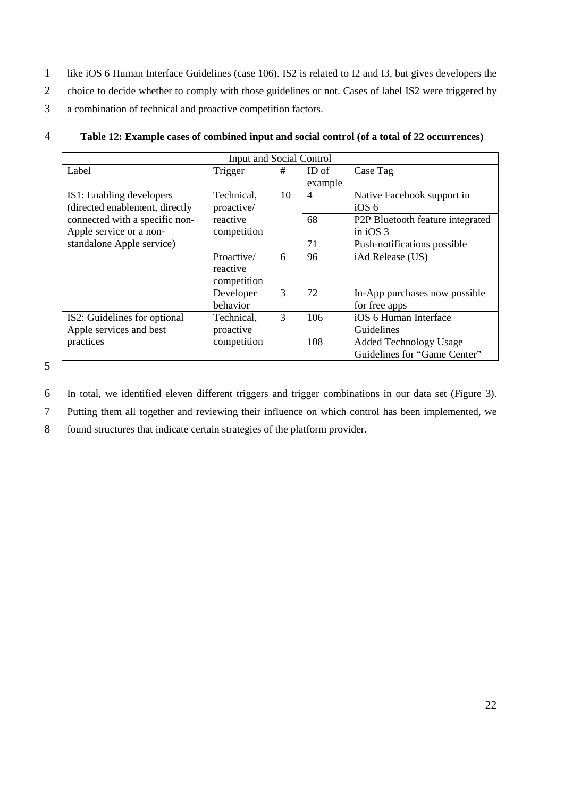- 1 like iOS 6 Human Interface Guidelines (case 106). IS2 is related to I2 and I3, but gives developers the
- 2 choice to decide whether to comply with those guidelines or not. Cases of label IS2 were triggered by
- 3 a combination of technical and proactive competition factors.

| Input and Social Control       |             |    |                |                                               |
|--------------------------------|-------------|----|----------------|-----------------------------------------------|
| Label                          | Trigger     | #  | ID of          | Case Tag                                      |
|                                |             |    | example        |                                               |
| IS1: Enabling developers       | Technical,  | 10 | $\overline{4}$ | Native Facebook support in                    |
| (directed enablement, directly | proactive/  |    |                | iOS <sub>6</sub>                              |
| connected with a specific non- | reactive    |    | 68             | P <sub>2</sub> P Bluetooth feature integrated |
| Apple service or a non-        | competition |    |                | in $iOS_3$                                    |
| standalone Apple service)      |             |    | 71             | Push-notifications possible                   |
|                                | Proactive/  | 6  | 96             | iAd Release (US)                              |
|                                | reactive    |    |                |                                               |
|                                | competition |    |                |                                               |
|                                | Developer   | 3  | 72             | In-App purchases now possible                 |
|                                | behavior    |    |                | for free apps                                 |
| IS2: Guidelines for optional   | Technical,  | 3  | 106            | iOS 6 Human Interface                         |
| Apple services and best        | proactive   |    |                | Guidelines                                    |
| practices                      | competition |    | 108            | <b>Added Technology Usage</b>                 |
|                                |             |    |                | Guidelines for "Game Center"                  |

4 **Table 12: Example cases of combined input and social control (of a total of 22 occurrences)**

5

- 6 In total, we identified eleven different triggers and trigger combinations in our data set [\(Figure 3\)](#page-22-0).
- 7 Putting them all together and reviewing their influence on which control has been implemented, we
- 8 found structures that indicate certain strategies of the platform provider.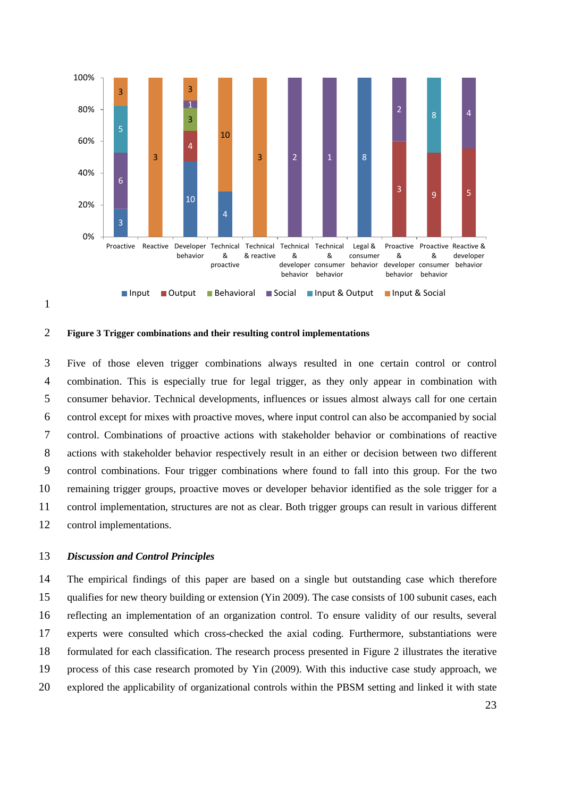



#### <span id="page-22-0"></span>2 **Figure 3 Trigger combinations and their resulting control implementations**

 Five of those eleven trigger combinations always resulted in one certain control or control combination. This is especially true for legal trigger, as they only appear in combination with consumer behavior. Technical developments, influences or issues almost always call for one certain control except for mixes with proactive moves, where input control can also be accompanied by social control. Combinations of proactive actions with stakeholder behavior or combinations of reactive actions with stakeholder behavior respectively result in an either or decision between two different control combinations. Four trigger combinations where found to fall into this group. For the two remaining trigger groups, proactive moves or developer behavior identified as the sole trigger for a control implementation, structures are not as clear. Both trigger groups can result in various different control implementations.

#### 13 *Discussion and Control Principles*

 The empirical findings of this paper are based on a single but outstanding case which therefore qualifies for new theory building or extension [\(Yin 2009\)](#page-30-12). The case consists of 100 subunit cases, each reflecting an implementation of an organization control. To ensure validity of our results, several experts were consulted which cross-checked the axial coding. Furthermore, substantiations were formulated for each classification. The research process presented in Figure 2 illustrates the iterative process of this case research promoted by Yin [\(2009\)](#page-30-12). With this inductive case study approach, we explored the applicability of organizational controls within the PBSM setting and linked it with state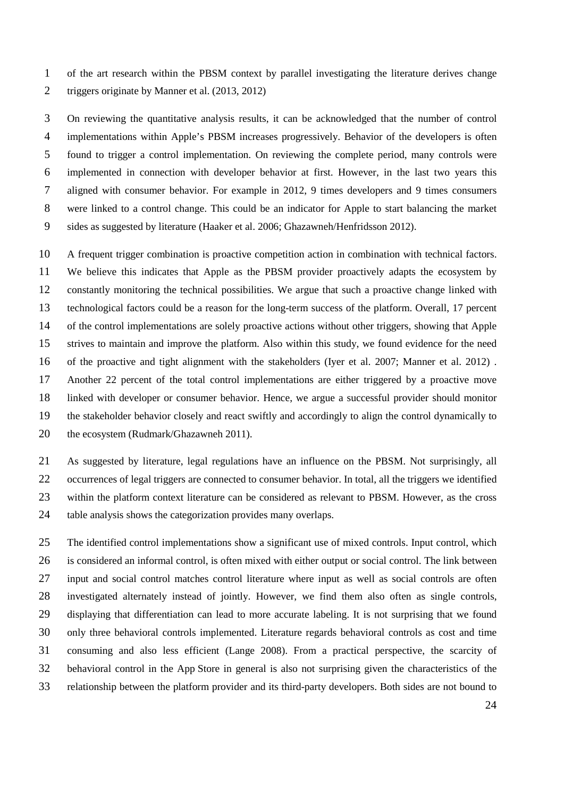of the art research within the PBSM context by parallel investigating the literature derives change triggers originate by Manner et al. [\(2013,](#page-29-1) [2012\)](#page-29-4)

 On reviewing the quantitative analysis results, it can be acknowledged that the number of control implementations within Apple's PBSM increases progressively. Behavior of the developers is often found to trigger a control implementation. On reviewing the complete period, many controls were implemented in connection with developer behavior at first. However, in the last two years this aligned with consumer behavior. For example in 2012, 9 times developers and 9 times consumers were linked to a control change. This could be an indicator for Apple to start balancing the market sides as suggested by literature [\(Haaker et al. 2006;](#page-28-14) [Ghazawneh/Henfridsson 2012\)](#page-28-9).

 A frequent trigger combination is proactive competition action in combination with technical factors. We believe this indicates that Apple as the PBSM provider proactively adapts the ecosystem by constantly monitoring the technical possibilities. We argue that such a proactive change linked with technological factors could be a reason for the long-term success of the platform. Overall, 17 percent of the control implementations are solely proactive actions without other triggers, showing that Apple strives to maintain and improve the platform. Also within this study, we found evidence for the need of the proactive and tight alignment with the stakeholders [\(Iyer et al. 2007;](#page-28-10) [Manner et al. 2012\)](#page-29-4) . Another 22 percent of the total control implementations are either triggered by a proactive move linked with developer or consumer behavior. Hence, we argue a successful provider should monitor the stakeholder behavior closely and react swiftly and accordingly to align the control dynamically to 20 the ecosystem [\(Rudmark/Ghazawneh 2011\)](#page-30-3).

 As suggested by literature, legal regulations have an influence on the PBSM. Not surprisingly, all occurrences of legal triggers are connected to consumer behavior. In total, all the triggers we identified within the platform context literature can be considered as relevant to PBSM. However, as the cross table analysis shows the categorization provides many overlaps.

 The identified control implementations show a significant use of mixed controls. Input control, which is considered an informal control, is often mixed with either output or social control. The link between input and social control matches control literature where input as well as social controls are often investigated alternately instead of jointly. However, we find them also often as single controls, displaying that differentiation can lead to more accurate labeling. It is not surprising that we found only three behavioral controls implemented. Literature regards behavioral controls as cost and time consuming and also less efficient [\(Lange 2008\)](#page-29-9). From a practical perspective, the scarcity of behavioral control in the App Store in general is also not surprising given the characteristics of the relationship between the platform provider and its third-party developers. Both sides are not bound to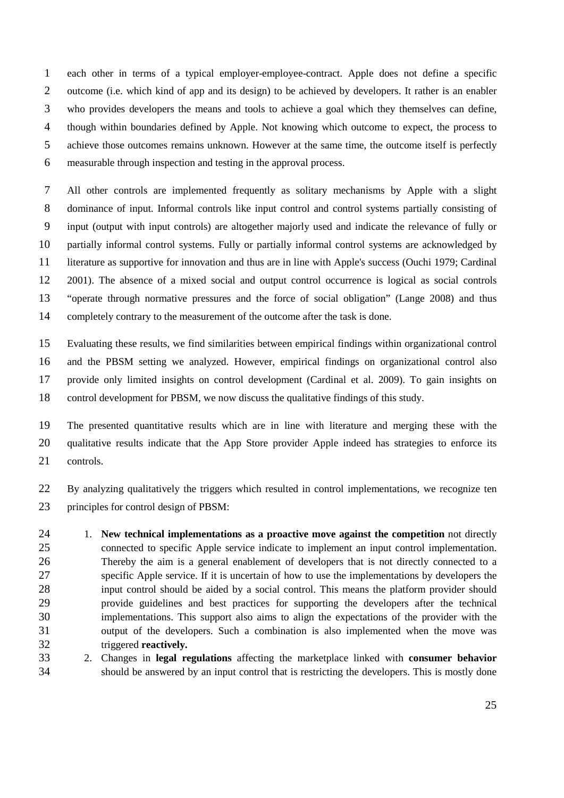each other in terms of a typical employer-employee-contract. Apple does not define a specific outcome (i.e. which kind of app and its design) to be achieved by developers. It rather is an enabler who provides developers the means and tools to achieve a goal which they themselves can define, though within boundaries defined by Apple. Not knowing which outcome to expect, the process to achieve those outcomes remains unknown. However at the same time, the outcome itself is perfectly measurable through inspection and testing in the approval process.

 All other controls are implemented frequently as solitary mechanisms by Apple with a slight dominance of input. Informal controls like input control and control systems partially consisting of input (output with input controls) are altogether majorly used and indicate the relevance of fully or partially informal control systems. Fully or partially informal control systems are acknowledged by literature as supportive for innovation and thus are in line with Apple's success [\(Ouchi 1979;](#page-29-7) [Cardinal](#page-27-2)  [2001\)](#page-27-2). The absence of a mixed social and output control occurrence is logical as social controls "operate through normative pressures and the force of social obligation" [\(Lange 2008\)](#page-29-9) and thus completely contrary to the measurement of the outcome after the task is done.

 Evaluating these results, we find similarities between empirical findings within organizational control and the PBSM setting we analyzed. However, empirical findings on organizational control also provide only limited insights on control development [\(Cardinal et al. 2009\)](#page-27-5). To gain insights on control development for PBSM, we now discuss the qualitative findings of this study.

 The presented quantitative results which are in line with literature and merging these with the qualitative results indicate that the App Store provider Apple indeed has strategies to enforce its controls.

 By analyzing qualitatively the triggers which resulted in control implementations, we recognize ten principles for control design of PBSM:

- 1. **New technical implementations as a proactive move against the competition** not directly connected to specific Apple service indicate to implement an input control implementation. Thereby the aim is a general enablement of developers that is not directly connected to a specific Apple service. If it is uncertain of how to use the implementations by developers the input control should be aided by a social control. This means the platform provider should provide guidelines and best practices for supporting the developers after the technical implementations. This support also aims to align the expectations of the provider with the output of the developers. Such a combination is also implemented when the move was triggered **reactively.**
- 2. Changes in **legal regulations** affecting the marketplace linked with **consumer behavior** should be answered by an input control that is restricting the developers. This is mostly done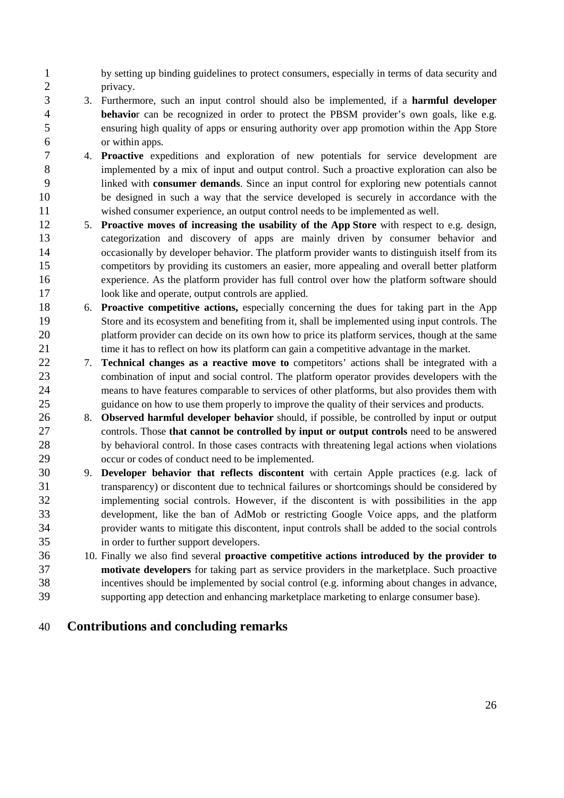1 by setting up binding guidelines to protect consumers, especially in terms of data security and 2 privacy.

- 3. Furthermore, such an input control should also be implemented, if a **harmful developer behavio**r can be recognized in order to protect the PBSM provider's own goals, like e.g. ensuring high quality of apps or ensuring authority over app promotion within the App Store or within apps.
- 4. **Proactive** expeditions and exploration of new potentials for service development are implemented by a mix of input and output control. Such a proactive exploration can also be linked with **consumer demands**. Since an input control for exploring new potentials cannot be designed in such a way that the service developed is securely in accordance with the wished consumer experience, an output control needs to be implemented as well.
- 5. **Proactive moves of increasing the usability of the App Store** with respect to e.g. design, categorization and discovery of apps are mainly driven by consumer behavior and occasionally by developer behavior. The platform provider wants to distinguish itself from its competitors by providing its customers an easier, more appealing and overall better platform experience. As the platform provider has full control over how the platform software should look like and operate, output controls are applied.
- 6. **Proactive competitive actions,** especially concerning the dues for taking part in the App Store and its ecosystem and benefiting from it, shall be implemented using input controls. The platform provider can decide on its own how to price its platform services, though at the same time it has to reflect on how its platform can gain a competitive advantage in the market.
- 7. **Technical changes as a reactive move to** competitors' actions shall be integrated with a combination of input and social control. The platform operator provides developers with the means to have features comparable to services of other platforms, but also provides them with guidance on how to use them properly to improve the quality of their services and products.
- 8. **Observed harmful developer behavior** should, if possible, be controlled by input or output controls. Those **that cannot be controlled by input or output controls** need to be answered by behavioral control. In those cases contracts with threatening legal actions when violations occur or codes of conduct need to be implemented.
- 9. **Developer behavior that reflects discontent** with certain Apple practices (e.g. lack of transparency) or discontent due to technical failures or shortcomings should be considered by implementing social controls. However, if the discontent is with possibilities in the app development, like the ban of AdMob or restricting Google Voice apps, and the platform provider wants to mitigate this discontent, input controls shall be added to the social controls in order to further support developers.
- 10. Finally we also find several **proactive competitive actions introduced by the provider to motivate developers** for taking part as service providers in the marketplace. Such proactive incentives should be implemented by social control (e.g. informing about changes in advance, supporting app detection and enhancing marketplace marketing to enlarge consumer base).
- **Contributions and concluding remarks**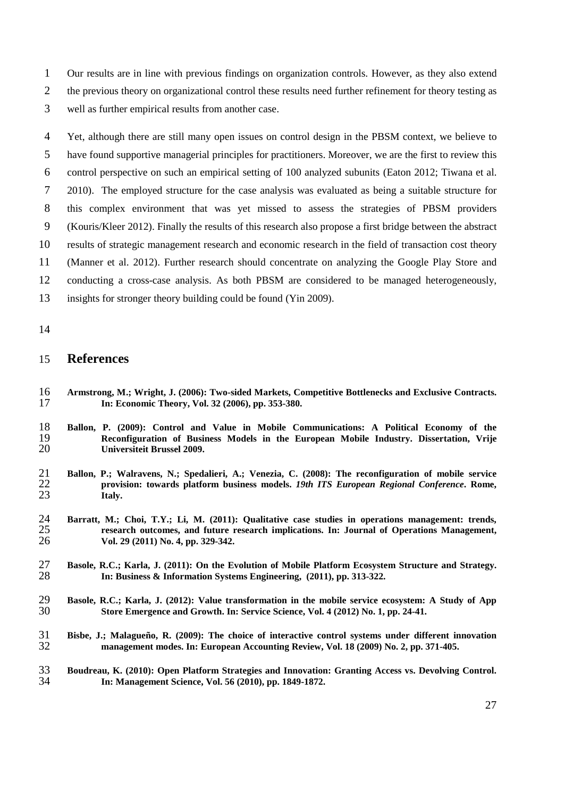Our results are in line with previous findings on organization controls. However, as they also extend 2 the previous theory on organizational control these results need further refinement for theory testing as well as further empirical results from another case.

 Yet, although there are still many open issues on control design in the PBSM context, we believe to have found supportive managerial principles for practitioners. Moreover, we are the first to review this control perspective on such an empirical setting of 100 analyzed subunits [\(Eaton 2012;](#page-27-15) [Tiwana et al.](#page-30-0)  [2010\)](#page-30-0). The employed structure for the case analysis was evaluated as being a suitable structure for this complex environment that was yet missed to assess the strategies of PBSM providers [\(Kouris/Kleer 2012\)](#page-29-3). Finally the results of this research also propose a first bridge between the abstract results of strategic management research and economic research in the field of transaction cost theory [\(Manner et al. 2012\)](#page-29-4). Further research should concentrate on analyzing the Google Play Store and conducting a cross-case analysis. As both PBSM are considered to be managed heterogeneously,

- insights for stronger theory building could be found [\(Yin 2009\)](#page-30-12).
- 

#### **References**

- <span id="page-26-3"></span> **Armstrong, M.; Wright, J. (2006): Two-sided Markets, Competitive Bottlenecks and Exclusive Contracts. In: Economic Theory, Vol. 32 (2006), pp. 353-380.**
- <span id="page-26-6"></span> **Ballon, P. (2009): Control and Value in Mobile Communications: A Political Economy of the Reconfiguration of Business Models in the European Mobile Industry. Dissertation, Vrije Universiteit Brussel 2009.**
- <span id="page-26-4"></span> **Ballon, P.; Walravens, N.; Spedalieri, A.; Venezia, C. (2008): The reconfiguration of mobile service provision: towards platform business models.** *19th ITS European Regional Conference***. Rome,**  Italy.
- <span id="page-26-7"></span> **Barratt, M.; Choi, T.Y.; Li, M. (2011): Qualitative case studies in operations management: trends, research outcomes, and future research implications. In: Journal of Operations Management, Vol. 29 (2011) No. 4, pp. 329-342.**
- <span id="page-26-1"></span>27 **Basole, R.C.; Karla, J. (2011): On the Evolution of Mobile Platform Ecosystem Structure and Strategy.**<br>28 **In: Business & Information Systems Engineering, (2011), pp. 313-322. In: Business & Information Systems Engineering, (2011), pp. 313-322.**
- <span id="page-26-0"></span> **Basole, R.C.; Karla, J. (2012): Value transformation in the mobile service ecosystem: A Study of App Store Emergence and Growth. In: Service Science, Vol. 4 (2012) No. 1, pp. 24-41.**
- <span id="page-26-5"></span> **Bisbe, J.; Malagueño, R. (2009): The choice of interactive control systems under different innovation management modes. In: European Accounting Review, Vol. 18 (2009) No. 2, pp. 371-405.**
- <span id="page-26-2"></span> **Boudreau, K. (2010): Open Platform Strategies and Innovation: Granting Access vs. Devolving Control. In: Management Science, Vol. 56 (2010), pp. 1849-1872.**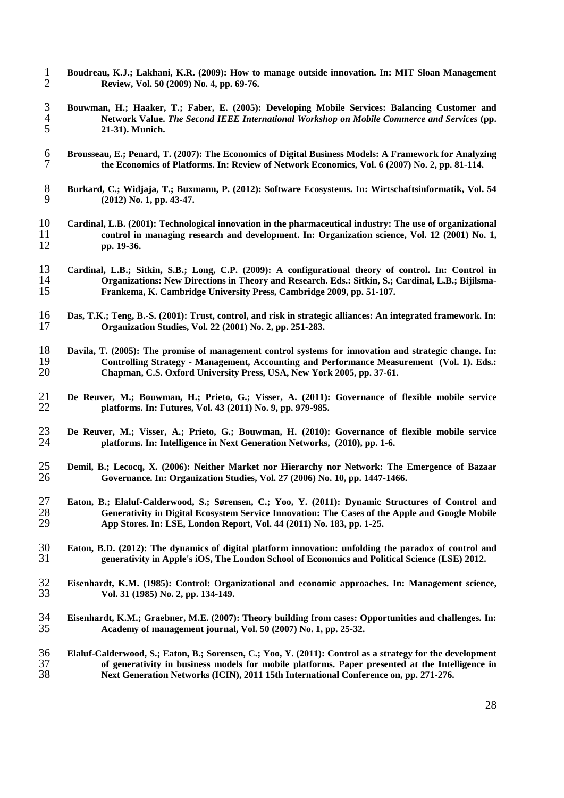- <span id="page-27-0"></span> **Boudreau, K.J.; Lakhani, K.R. (2009): How to manage outside innovation. In: MIT Sloan Management Review, Vol. 50 (2009) No. 4, pp. 69-76.**
- <span id="page-27-12"></span> **Bouwman, H.; Haaker, T.; Faber, E. (2005): Developing Mobile Services: Balancing Customer and Network Value.** *The Second IEEE International Workshop on Mobile Commerce and Services* **(pp. 21-31). Munich.**
- <span id="page-27-14"></span> **Brousseau, E.; Penard, T. (2007): The Economics of Digital Business Models: A Framework for Analyzing the Economics of Platforms. In: Review of Network Economics, Vol. 6 (2007) No. 2, pp. 81-114.**
- <span id="page-27-1"></span> **Burkard, C.; Widjaja, T.; Buxmann, P. (2012): Software Ecosystems. In: Wirtschaftsinformatik, Vol. 54 (2012) No. 1, pp. 43-47.**
- <span id="page-27-2"></span>**Cardinal, L.B. (2001): Technological innovation in the pharmaceutical industry: The use of organizational control in managing research and development. In: Organization science, Vol. 12 (2001) No. 1, control in managing research and development. In: Organization science, Vol. 12 (2001) No. 1, pp. 19-36.**
- <span id="page-27-5"></span> **Cardinal, L.B.; Sitkin, S.B.; Long, C.P. (2009): A configurational theory of control. In: Control in Organizations: New Directions in Theory and Research. Eds.: Sitkin, S.; Cardinal, L.B.; Bijilsma-Frankema, K. Cambridge University Press, Cambridge 2009, pp. 51-107.**
- <span id="page-27-6"></span> **Das, T.K.; Teng, B.-S. (2001): Trust, control, and risk in strategic alliances: An integrated framework. In: Organization Studies, Vol. 22 (2001) No. 2, pp. 251-283.**
- <span id="page-27-8"></span> **Davila, T. (2005): The promise of management control systems for innovation and strategic change. In: Controlling Strategy - Management, Accounting and Performance Measurement (Vol. 1). Eds.: Chapman, C.S. Oxford University Press, USA, New York 2005, pp. 37-61.**
- <span id="page-27-11"></span> **De Reuver, M.; Bouwman, H.; Prieto, G.; Visser, A. (2011): Governance of flexible mobile service platforms. In: Futures, Vol. 43 (2011) No. 9, pp. 979-985.**
- <span id="page-27-13"></span> **De Reuver, M.; Visser, A.; Prieto, G.; Bouwman, H. (2010): Governance of flexible mobile service platforms. In: Intelligence in Next Generation Networks, (2010), pp. 1-6.**
- <span id="page-27-9"></span> **Demil, B.; Lecocq, X. (2006): Neither Market nor Hierarchy nor Network: The Emergence of Bazaar Governance. In: Organization Studies, Vol. 27 (2006) No. 10, pp. 1447-1466.**
- <span id="page-27-3"></span> **Eaton, B.; Elaluf-Calderwood, S.; Sørensen, C.; Yoo, Y. (2011): Dynamic Structures of Control and Generativity in Digital Ecosystem Service Innovation: The Cases of the Apple and Google Mobile App Stores. In: LSE, London Report, Vol. 44 (2011) No. 183, pp. 1-25.**
- <span id="page-27-15"></span> **Eaton, B.D. (2012): The dynamics of digital platform innovation: unfolding the paradox of control and generativity in Apple's iOS, The London School of Economics and Political Science (LSE) 2012.**
- <span id="page-27-7"></span> **Eisenhardt, K.M. (1985): Control: Organizational and economic approaches. In: Management science, Vol. 31 (1985) No. 2, pp. 134-149.**
- <span id="page-27-10"></span> **Eisenhardt, K.M.; Graebner, M.E. (2007): Theory building from cases: Opportunities and challenges. In: Academy of management journal, Vol. 50 (2007) No. 1, pp. 25-32.**
- <span id="page-27-4"></span> **Elaluf-Calderwood, S.; Eaton, B.; Sorensen, C.; Yoo, Y. (2011): Control as a strategy for the development of generativity in business models for mobile platforms. Paper presented at the Intelligence in Next Generation Networks (ICIN), 2011 15th International Conference on, pp. 271-276.**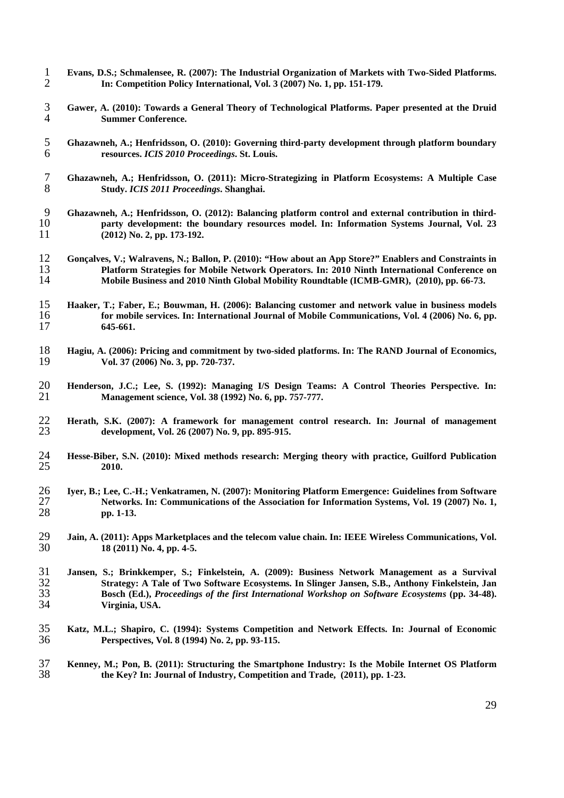- <span id="page-28-15"></span> **Evans, D.S.; Schmalensee, R. (2007): The Industrial Organization of Markets with Two-Sided Platforms. In: Competition Policy International, Vol. 3 (2007) No. 1, pp. 151-179.**
- <span id="page-28-0"></span> **Gawer, A. (2010): Towards a General Theory of Technological Platforms. Paper presented at the Druid Summer Conference.**
- <span id="page-28-5"></span> **Ghazawneh, A.; Henfridsson, O. (2010): Governing third-party development through platform boundary resources.** *ICIS 2010 Proceedings***. St. Louis.**
- <span id="page-28-4"></span> **Ghazawneh, A.; Henfridsson, O. (2011): Micro-Strategizing in Platform Ecosystems: A Multiple Case Study.** *ICIS 2011 Proceedings***. Shanghai.**
- <span id="page-28-9"></span> **Ghazawneh, A.; Henfridsson, O. (2012): Balancing platform control and external contribution in third- party development: the boundary resources model. In: Information Systems Journal, Vol. 23 (2012) No. 2, pp. 173-192.**
- <span id="page-28-6"></span> **Gonçalves, V.; Walravens, N.; Ballon, P. (2010): "How about an App Store?" Enablers and Constraints in Platform Strategies for Mobile Network Operators. In: 2010 Ninth International Conference on Mobile Business and 2010 Ninth Global Mobility Roundtable (ICMB-GMR), (2010), pp. 66-73.**
- <span id="page-28-14"></span> **Haaker, T.; Faber, E.; Bouwman, H. (2006): Balancing customer and network value in business models for mobile services. In: International Journal of Mobile Communications, Vol. 4 (2006) No. 6, pp. 645-661.**
- <span id="page-28-2"></span> **Hagiu, A. (2006): Pricing and commitment by two-sided platforms. In: The RAND Journal of Economics, Vol. 37 (2006) No. 3, pp. 720-737.**
- <span id="page-28-11"></span> **Henderson, J.C.; Lee, S. (1992): Managing I/S Design Teams: A Control Theories Perspective. In: Management science, Vol. 38 (1992) No. 6, pp. 757-777.**
- <span id="page-28-8"></span> **Herath, S.K. (2007): A framework for management control research. In: Journal of management development, Vol. 26 (2007) No. 9, pp. 895-915.**
- <span id="page-28-12"></span> **Hesse-Biber, S.N. (2010): Mixed methods research: Merging theory with practice, Guilford Publication 2010.**
- <span id="page-28-10"></span> **Iyer, B.; Lee, C.-H.; Venkatramen, N. (2007): Monitoring Platform Emergence: Guidelines from Software Networks. In: Communications of the Association for Information Systems, Vol. 19 (2007) No. 1,**  pp. 1-13.
- <span id="page-28-7"></span>**Jain, A. (2011): Apps Marketplaces and the telecom value chain. In: IEEE Wireless Communications, Vol.** 18 (2011) No. 4, pp. 4-5. **18 (2011) No. 4, pp. 4-5.**
- <span id="page-28-13"></span> **Jansen, S.; Brinkkemper, S.; Finkelstein, A. (2009): Business Network Management as a Survival Strategy: A Tale of Two Software Ecosystems. In Slinger Jansen, S.B., Anthony Finkelstein, Jan Bosch (Ed.),** *Proceedings of the first International Workshop on Software Ecosystems* **(pp. 34-48). Virginia, USA.**
- <span id="page-28-1"></span> **Katz, M.L.; Shapiro, C. (1994): Systems Competition and Network Effects. In: Journal of Economic Perspectives, Vol. 8 (1994) No. 2, pp. 93-115.**
- <span id="page-28-3"></span> **Kenney, M.; Pon, B. (2011): Structuring the Smartphone Industry: Is the Mobile Internet OS Platform the Key? In: Journal of Industry, Competition and Trade, (2011), pp. 1-23.**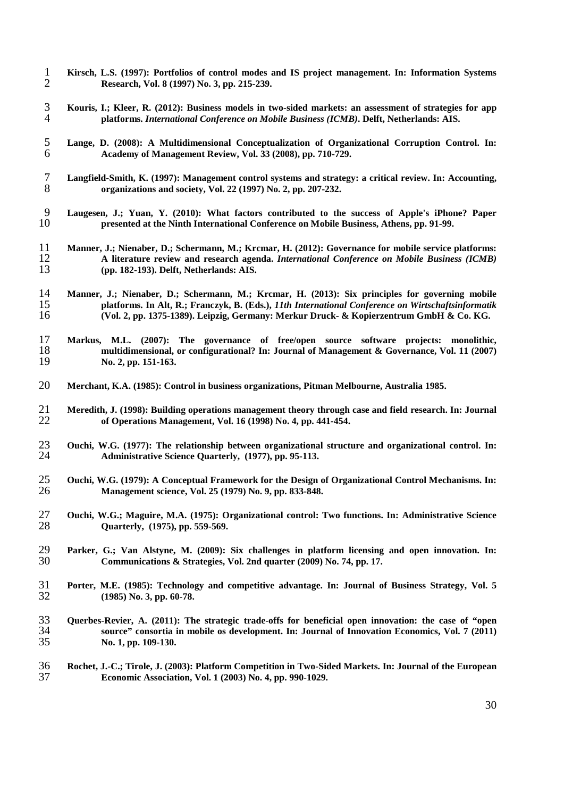- <span id="page-29-12"></span> **Kirsch, L.S. (1997): Portfolios of control modes and IS project management. In: Information Systems Research, Vol. 8 (1997) No. 3, pp. 215-239.**
- <span id="page-29-3"></span> **Kouris, I.; Kleer, R. (2012): Business models in two-sided markets: an assessment of strategies for app platforms.** *International Conference on Mobile Business (ICMB)***. Delft, Netherlands: AIS.**
- <span id="page-29-9"></span> **Lange, D. (2008): A Multidimensional Conceptualization of Organizational Corruption Control. In: Academy of Management Review, Vol. 33 (2008), pp. 710-729.**
- <span id="page-29-5"></span> **Langfield-Smith, K. (1997): Management control systems and strategy: a critical review. In: Accounting, organizations and society, Vol. 22 (1997) No. 2, pp. 207-232.**
- <span id="page-29-13"></span> **Laugesen, J.; Yuan, Y. (2010): What factors contributed to the success of Apple's iPhone? Paper presented at the Ninth International Conference on Mobile Business, Athens, pp. 91-99.**
- <span id="page-29-4"></span>11 **Manner, J.; Nienaber, D.; Schermann, M.; Krcmar, H. (2012): Governance for mobile service platforms:** <br>12 **A literature review and research agenda.** International Conference on Mobile Business (ICMB) **A literature review and research agenda.** *International Conference on Mobile Business (ICMB)*  **(pp. 182-193). Delft, Netherlands: AIS.**
- <span id="page-29-1"></span>14 Manner, J.; Nienaber, D.; Schermann, M.; Krcmar, H. (2013): Six principles for governing mobile platforms. In Alt, R.; Franczyk, B. (Eds.), 11th International Conference on Wirtschaftsinformatik **platforms. In Alt, R.; Franczyk, B. (Eds.),** *11th International Conference on Wirtschaftsinformatik* **(Vol. 2, pp. 1375-1389). Leipzig, Germany: Merkur Druck- & Kopierzentrum GmbH & Co. KG.**
- <span id="page-29-11"></span> **Markus, M.L. (2007): The governance of free/open source software projects: monolithic, multidimensional, or configurational? In: Journal of Management & Governance, Vol. 11 (2007) No. 2, pp. 151-163.**
- <span id="page-29-10"></span>**Merchant, K.A. (1985): Control in business organizations, Pitman Melbourne, Australia 1985.**
- <span id="page-29-16"></span> **Meredith, J. (1998): Building operations management theory through case and field research. In: Journal of Operations Management, Vol. 16 (1998) No. 4, pp. 441-454.**
- <span id="page-29-8"></span>23 **Ouchi, W.G. (1977): The relationship between organizational structure and organizational control. In:** <br>24 **Administrative Science Ouarterly.** (1977). pp. 95-113. **Administrative Science Quarterly, (1977), pp. 95-113.**
- <span id="page-29-7"></span> **Ouchi, W.G. (1979): A Conceptual Framework for the Design of Organizational Control Mechanisms. In: Management science, Vol. 25 (1979) No. 9, pp. 833-848.**
- <span id="page-29-6"></span> **Ouchi, W.G.; Maguire, M.A. (1975): Organizational control: Two functions. In: Administrative Science Quarterly, (1975), pp. 559-569.**
- <span id="page-29-0"></span> **Parker, G.; Van Alstyne, M. (2009): Six challenges in platform licensing and open innovation. In: Communications & Strategies, Vol. 2nd quarter (2009) No. 74, pp. 17.**
- <span id="page-29-15"></span> **Porter, M.E. (1985): Technology and competitive advantage. In: Journal of Business Strategy, Vol. 5 (1985) No. 3, pp. 60-78.**
- <span id="page-29-2"></span> **Querbes-Revier, A. (2011): The strategic trade-offs for beneficial open innovation: the case of "open source" consortia in mobile os development. In: Journal of Innovation Economics, Vol. 7 (2011) No. 1, pp. 109-130.**
- <span id="page-29-14"></span> **Rochet, J.-C.; Tirole, J. (2003): Platform Competition in Two-Sided Markets. In: Journal of the European Economic Association, Vol. 1 (2003) No. 4, pp. 990-1029.**